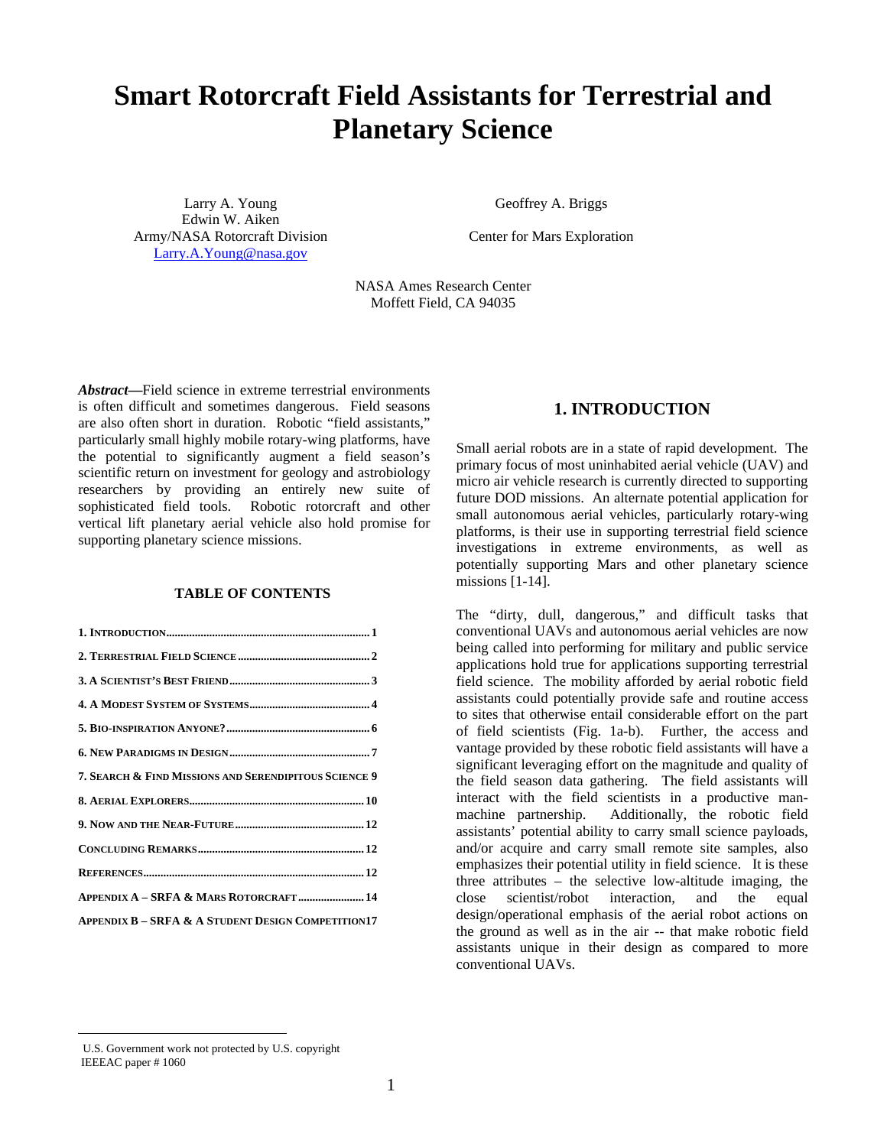# **Smart Rotorcraft Field Assistants for Terrestrial and Planetary Science**

Larry A. Young Edwin W. Aiken Army/NASA Rotorcraft Division Larry.A.Young@nasa.gov

Geoffrey A. Briggs

Center for Mars Exploration

NASA Ames Research Center Moffett Field, CA 94035

*Abstract***—**Field science in extreme terrestrial environments is often difficult and sometimes dangerous. Field seasons are also often short in duration. Robotic "field assistants," particularly small highly mobile rotary-wing platforms, have the potential to significantly augment a field season's scientific return on investment for geology and astrobiology researchers by providing an entirely new suite of sophisticated field tools. Robotic rotorcraft and other vertical lift planetary aerial vehicle also hold promise for supporting planetary science missions.

#### **TABLE OF CONTENTS**

| 7. SEARCH & FIND MISSIONS AND SERENDIPITOUS SCIENCE 9         |
|---------------------------------------------------------------|
|                                                               |
|                                                               |
|                                                               |
|                                                               |
| APPENDIX A - SRFA & MARS ROTORCRAFT  14                       |
| <b>APPENDIX B - SRFA &amp; A STUDENT DESIGN COMPETITION17</b> |

## **1. INTRODUCTION**

Small aerial robots are in a state of rapid development. The primary focus of most uninhabited aerial vehicle (UAV) and micro air vehicle research is currently directed to supporting future DOD missions. An alternate potential application for small autonomous aerial vehicles, particularly rotary-wing platforms, is their use in supporting terrestrial field science investigations in extreme environments, as well as potentially supporting Mars and other planetary science missions [1-14].

The "dirty, dull, dangerous," and difficult tasks that conventional UAVs and autonomous aerial vehicles are now being called into performing for military and public service applications hold true for applications supporting terrestrial field science. The mobility afforded by aerial robotic field assistants could potentially provide safe and routine access to sites that otherwise entail considerable effort on the part of field scientists (Fig. 1a-b). Further, the access and vantage provided by these robotic field assistants will have a significant leveraging effort on the magnitude and quality of the field season data gathering. The field assistants will interact with the field scientists in a productive manmachine partnership. Additionally, the robotic field assistants' potential ability to carry small science payloads, and/or acquire and carry small remote site samples, also emphasizes their potential utility in field science. It is these three attributes – the selective low-altitude imaging, the close scientist/robot interaction, and the equal design/operational emphasis of the aerial robot actions on the ground as well as in the air -- that make robotic field assistants unique in their design as compared to more conventional UAVs.

 $\overline{a}$ 

U.S. Government work not protected by U.S. copyright IEEEAC paper # 1060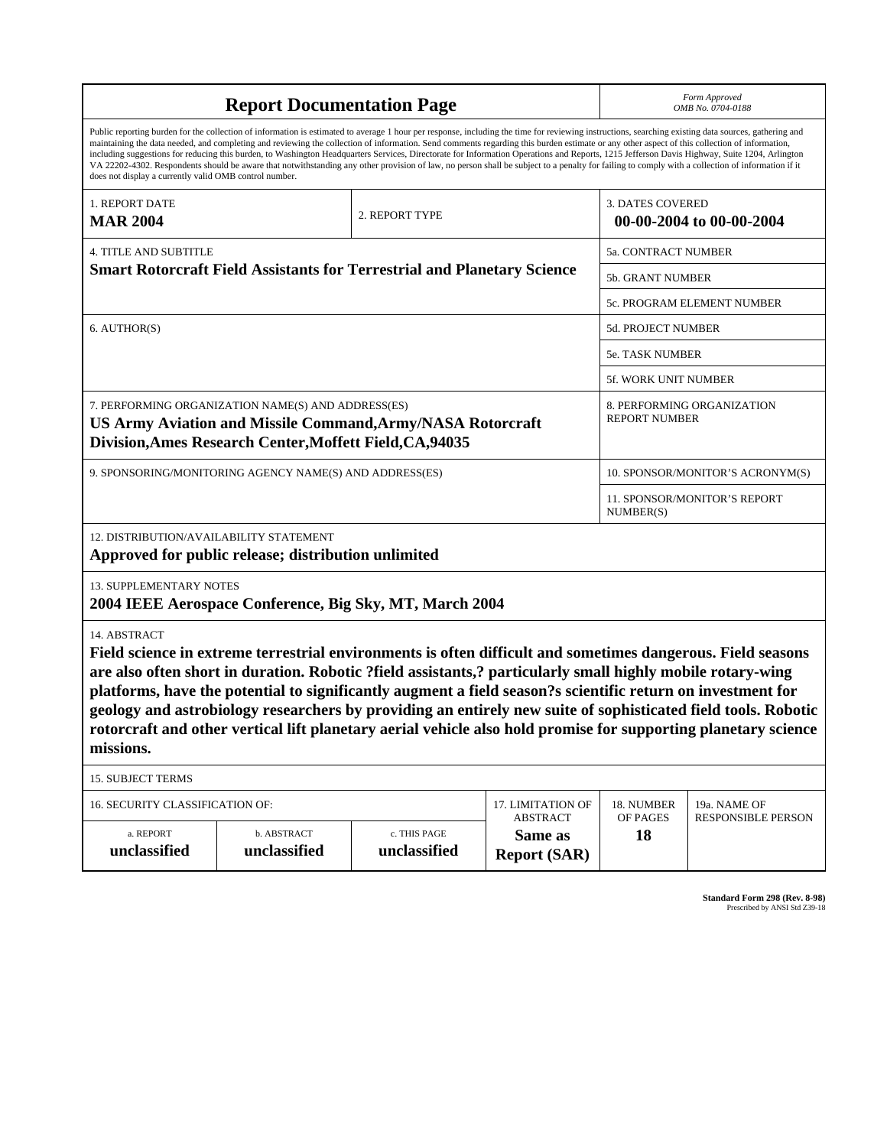| <b>Report Documentation Page</b>                                                                                                                                                                                                                                                                                                                                                                                                                                                                                                                                                                                                                                                                                                                                                                                                                                   |                                                                                |                              |                                                   | Form Approved<br>OMB No. 0704-0188 |                            |
|--------------------------------------------------------------------------------------------------------------------------------------------------------------------------------------------------------------------------------------------------------------------------------------------------------------------------------------------------------------------------------------------------------------------------------------------------------------------------------------------------------------------------------------------------------------------------------------------------------------------------------------------------------------------------------------------------------------------------------------------------------------------------------------------------------------------------------------------------------------------|--------------------------------------------------------------------------------|------------------------------|---------------------------------------------------|------------------------------------|----------------------------|
| Public reporting burden for the collection of information is estimated to average 1 hour per response, including the time for reviewing instructions, searching existing data sources, gathering and<br>maintaining the data needed, and completing and reviewing the collection of information. Send comments regarding this burden estimate or any other aspect of this collection of information,<br>including suggestions for reducing this burden, to Washington Headquarters Services, Directorate for Information Operations and Reports, 1215 Jefferson Davis Highway, Suite 1204, Arlington<br>VA 22202-4302. Respondents should be aware that notwithstanding any other provision of law, no person shall be subject to a penalty for failing to comply with a collection of information if it<br>does not display a currently valid OMB control number. |                                                                                |                              |                                                   |                                    |                            |
| 1. REPORT DATE<br><b>MAR 2004</b>                                                                                                                                                                                                                                                                                                                                                                                                                                                                                                                                                                                                                                                                                                                                                                                                                                  |                                                                                | 2. REPORT TYPE               |                                                   | <b>3. DATES COVERED</b>            | 00-00-2004 to 00-00-2004   |
| <b>4. TITLE AND SUBTITLE</b>                                                                                                                                                                                                                                                                                                                                                                                                                                                                                                                                                                                                                                                                                                                                                                                                                                       |                                                                                |                              |                                                   | 5a. CONTRACT NUMBER                |                            |
|                                                                                                                                                                                                                                                                                                                                                                                                                                                                                                                                                                                                                                                                                                                                                                                                                                                                    | <b>Smart Rotorcraft Field Assistants for Terrestrial and Planetary Science</b> |                              |                                                   | 5b. GRANT NUMBER                   |                            |
|                                                                                                                                                                                                                                                                                                                                                                                                                                                                                                                                                                                                                                                                                                                                                                                                                                                                    |                                                                                |                              |                                                   |                                    | 5c. PROGRAM ELEMENT NUMBER |
| 6. AUTHOR(S)                                                                                                                                                                                                                                                                                                                                                                                                                                                                                                                                                                                                                                                                                                                                                                                                                                                       |                                                                                |                              |                                                   | 5d. PROJECT NUMBER                 |                            |
|                                                                                                                                                                                                                                                                                                                                                                                                                                                                                                                                                                                                                                                                                                                                                                                                                                                                    |                                                                                |                              |                                                   | 5e. TASK NUMBER                    |                            |
|                                                                                                                                                                                                                                                                                                                                                                                                                                                                                                                                                                                                                                                                                                                                                                                                                                                                    |                                                                                |                              |                                                   | 5f. WORK UNIT NUMBER               |                            |
| 7. PERFORMING ORGANIZATION NAME(S) AND ADDRESS(ES)<br>8. PERFORMING ORGANIZATION<br><b>REPORT NUMBER</b><br><b>US Army Aviation and Missile Command, Army/NASA Rotorcraft</b><br>Division, Ames Research Center, Moffett Field, CA, 94035                                                                                                                                                                                                                                                                                                                                                                                                                                                                                                                                                                                                                          |                                                                                |                              |                                                   |                                    |                            |
|                                                                                                                                                                                                                                                                                                                                                                                                                                                                                                                                                                                                                                                                                                                                                                                                                                                                    | 9. SPONSORING/MONITORING AGENCY NAME(S) AND ADDRESS(ES)                        |                              | 10. SPONSOR/MONITOR'S ACRONYM(S)                  |                                    |                            |
|                                                                                                                                                                                                                                                                                                                                                                                                                                                                                                                                                                                                                                                                                                                                                                                                                                                                    |                                                                                |                              | NUMBER(S)                                         | 11. SPONSOR/MONITOR'S REPORT       |                            |
| 12. DISTRIBUTION/AVAILABILITY STATEMENT<br>Approved for public release; distribution unlimited                                                                                                                                                                                                                                                                                                                                                                                                                                                                                                                                                                                                                                                                                                                                                                     |                                                                                |                              |                                                   |                                    |                            |
| 13. SUPPLEMENTARY NOTES                                                                                                                                                                                                                                                                                                                                                                                                                                                                                                                                                                                                                                                                                                                                                                                                                                            | 2004 IEEE Aerospace Conference, Big Sky, MT, March 2004                        |                              |                                                   |                                    |                            |
| 14. ABSTRACT<br>Field science in extreme terrestrial environments is often difficult and sometimes dangerous. Field seasons<br>are also often short in duration. Robotic ?field assistants,? particularly small highly mobile rotary-wing<br>platforms, have the potential to significantly augment a field season?s scientific return on investment for<br>geology and astrobiology researchers by providing an entirely new suite of sophisticated field tools. Robotic<br>rotorcraft and other vertical lift planetary aerial vehicle also hold promise for supporting planetary science<br>missions.                                                                                                                                                                                                                                                           |                                                                                |                              |                                                   |                                    |                            |
| <b>15. SUBJECT TERMS</b>                                                                                                                                                                                                                                                                                                                                                                                                                                                                                                                                                                                                                                                                                                                                                                                                                                           |                                                                                |                              |                                                   |                                    |                            |
| 16. SECURITY CLASSIFICATION OF:                                                                                                                                                                                                                                                                                                                                                                                                                                                                                                                                                                                                                                                                                                                                                                                                                                    |                                                                                |                              | 17. LIMITATION OF                                 | 18. NUMBER                         | 19a. NAME OF               |
| a. REPORT<br>unclassified                                                                                                                                                                                                                                                                                                                                                                                                                                                                                                                                                                                                                                                                                                                                                                                                                                          | b. ABSTRACT<br>unclassified                                                    | c. THIS PAGE<br>unclassified | <b>ABSTRACT</b><br>Same as<br><b>Report (SAR)</b> | OF PAGES<br>18                     | <b>RESPONSIBLE PERSON</b>  |

**Standard Form 298 (Rev. 8-98)**<br>Prescribed by ANSI Std Z39-18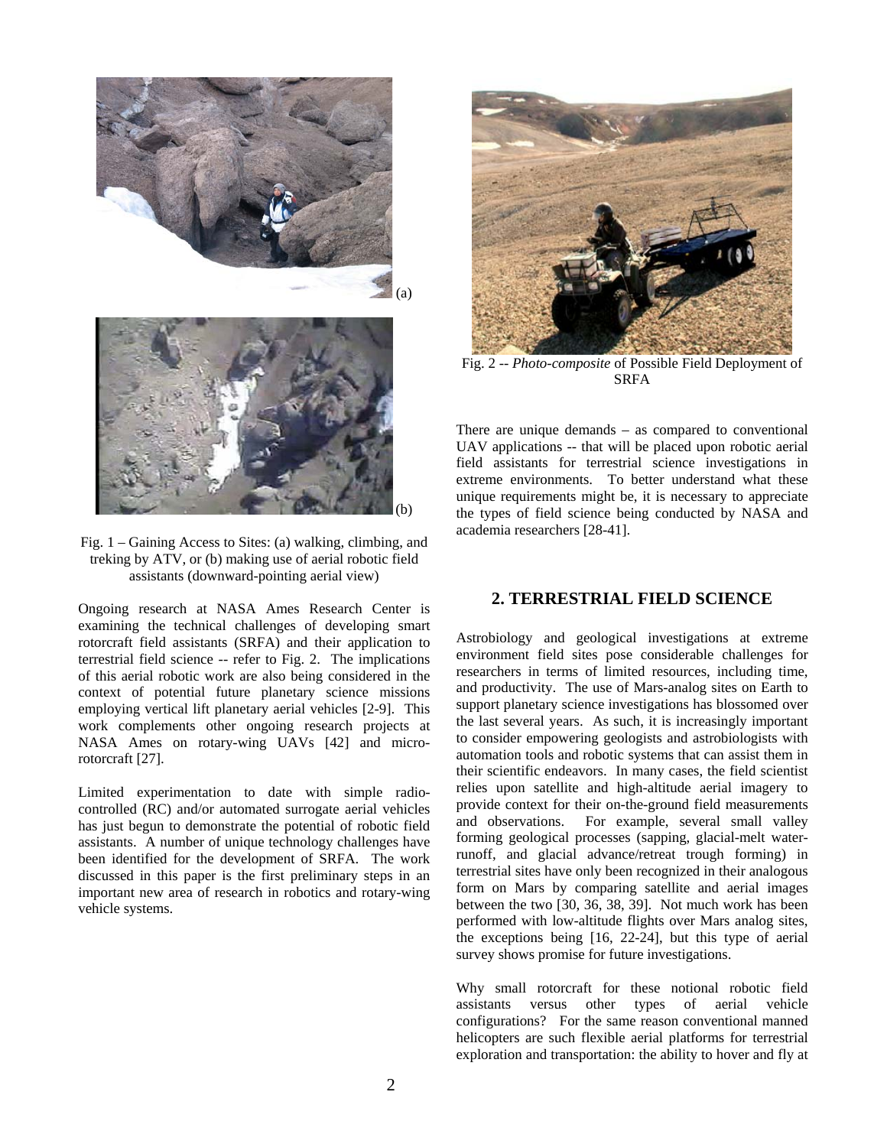



Fig. 1 – Gaining Access to Sites: (a) walking, climbing, and treking by ATV, or (b) making use of aerial robotic field assistants (downward-pointing aerial view)

Ongoing research at NASA Ames Research Center is examining the technical challenges of developing smart rotorcraft field assistants (SRFA) and their application to terrestrial field science -- refer to Fig. 2. The implications of this aerial robotic work are also being considered in the context of potential future planetary science missions employing vertical lift planetary aerial vehicles [2-9]. This work complements other ongoing research projects at NASA Ames on rotary-wing UAVs [42] and microrotorcraft [27].

Limited experimentation to date with simple radiocontrolled (RC) and/or automated surrogate aerial vehicles has just begun to demonstrate the potential of robotic field assistants. A number of unique technology challenges have been identified for the development of SRFA. The work discussed in this paper is the first preliminary steps in an important new area of research in robotics and rotary-wing vehicle systems.



Fig. 2 -- *Photo-composite* of Possible Field Deployment of SRFA

There are unique demands – as compared to conventional UAV applications -- that will be placed upon robotic aerial field assistants for terrestrial science investigations in extreme environments. To better understand what these unique requirements might be, it is necessary to appreciate the types of field science being conducted by NASA and academia researchers [28-41].

#### **2. TERRESTRIAL FIELD SCIENCE**

Astrobiology and geological investigations at extreme environment field sites pose considerable challenges for researchers in terms of limited resources, including time, and productivity. The use of Mars-analog sites on Earth to support planetary science investigations has blossomed over the last several years. As such, it is increasingly important to consider empowering geologists and astrobiologists with automation tools and robotic systems that can assist them in their scientific endeavors. In many cases, the field scientist relies upon satellite and high-altitude aerial imagery to provide context for their on-the-ground field measurements and observations. For example, several small valley forming geological processes (sapping, glacial-melt waterrunoff, and glacial advance/retreat trough forming) in terrestrial sites have only been recognized in their analogous form on Mars by comparing satellite and aerial images between the two [30, 36, 38, 39]. Not much work has been performed with low-altitude flights over Mars analog sites, the exceptions being [16, 22-24], but this type of aerial survey shows promise for future investigations.

Why small rotorcraft for these notional robotic field assistants versus other types of aerial vehicle configurations? For the same reason conventional manned helicopters are such flexible aerial platforms for terrestrial exploration and transportation: the ability to hover and fly at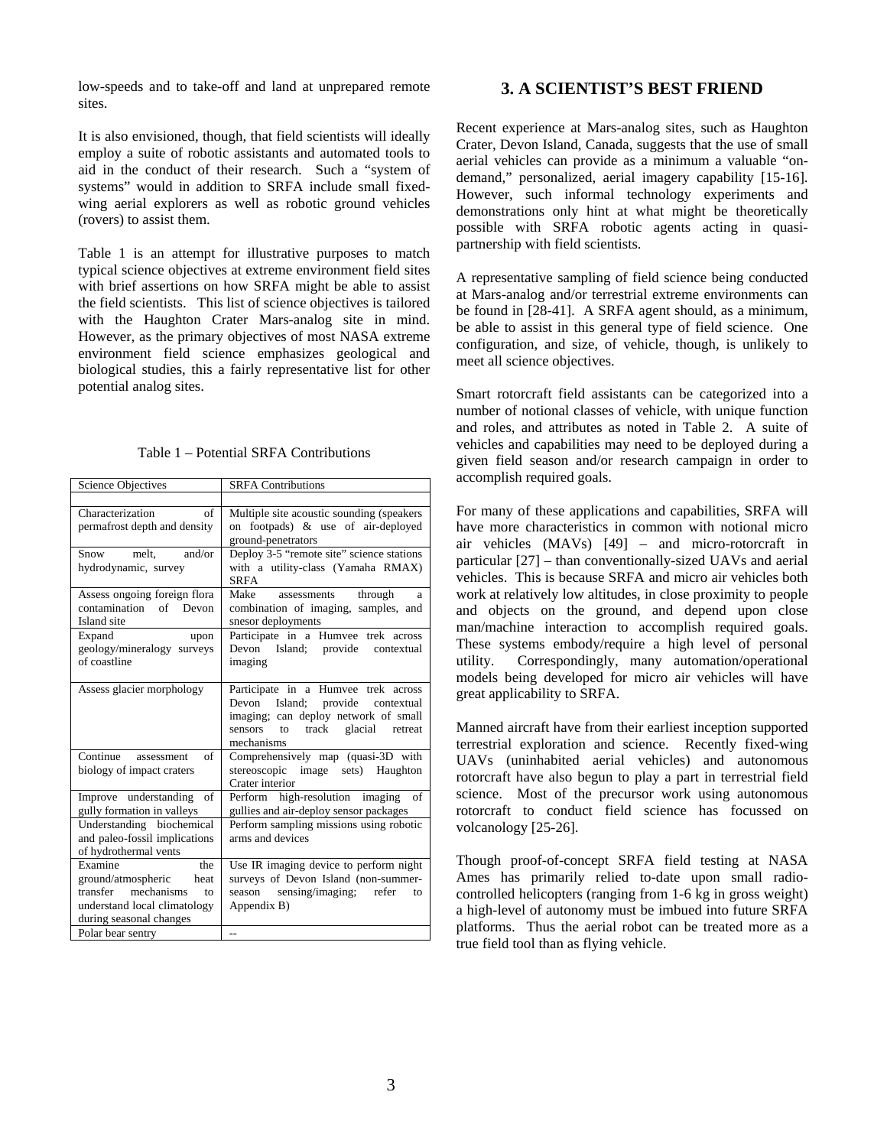low-speeds and to take-off and land at unprepared remote sites.

It is also envisioned, though, that field scientists will ideally employ a suite of robotic assistants and automated tools to aid in the conduct of their research. Such a "system of systems" would in addition to SRFA include small fixedwing aerial explorers as well as robotic ground vehicles (rovers) to assist them.

Table 1 is an attempt for illustrative purposes to match typical science objectives at extreme environment field sites with brief assertions on how SRFA might be able to assist the field scientists. This list of science objectives is tailored with the Haughton Crater Mars-analog site in mind. However, as the primary objectives of most NASA extreme environment field science emphasizes geological and biological studies, this a fairly representative list for other potential analog sites.

| Table 1 – Potential SRFA Contributions |  |
|----------------------------------------|--|
|----------------------------------------|--|

| <b>Science Objectives</b>                                                                                                            | <b>SRFA Contributions</b>                                                                                                                                                                  |
|--------------------------------------------------------------------------------------------------------------------------------------|--------------------------------------------------------------------------------------------------------------------------------------------------------------------------------------------|
|                                                                                                                                      |                                                                                                                                                                                            |
| Characterization<br>of<br>permafrost depth and density                                                                               | Multiple site acoustic sounding (speakers)<br>on footpads) & use of air-deployed<br>ground-penetrators                                                                                     |
| melt.<br>and/or<br>Snow<br>hydrodynamic, survey                                                                                      | Deploy 3-5 "remote site" science stations<br>with a utility-class (Yamaha RMAX)<br><b>SRFA</b>                                                                                             |
| Assess ongoing foreign flora<br>contamination of Devon<br>Island site                                                                | Make<br>assessments<br>through<br>a<br>combination of imaging, samples, and<br>snesor deployments                                                                                          |
| Expand<br>upon<br>geology/mineralogy surveys<br>of coastline                                                                         | Participate in a Humvee trek across<br>Devon Island; provide<br>contextual<br>imaging                                                                                                      |
| Assess glacier morphology                                                                                                            | Participate in a Humvee trek across<br>Island; provide<br>Devon<br>contextual<br>imaging; can deploy network of small<br>sensors<br>track glacial<br>$\mathbf{f}$<br>retreat<br>mechanisms |
| Continue assessment<br>of<br>biology of impact craters                                                                               | Comprehensively map (quasi-3D with<br>image sets) Haughton<br>stereoscopic<br>Crater interior                                                                                              |
| Improve understanding<br>of<br>gully formation in valleys                                                                            | Perform high-resolution imaging<br>of<br>gullies and air-deploy sensor packages                                                                                                            |
| Understanding biochemical<br>and paleo-fossil implications<br>of hydrothermal vents                                                  | Perform sampling missions using robotic<br>arms and devices                                                                                                                                |
| Examine<br>the<br>ground/atmospheric<br>heat<br>transfer mechanisms<br>to<br>understand local climatology<br>during seasonal changes | Use IR imaging device to perform night<br>surveys of Devon Island (non-summer-<br>season<br>sensing/imaging; refer<br>to<br>Appendix B)                                                    |
| Polar bear sentry                                                                                                                    | --                                                                                                                                                                                         |

#### **3. A SCIENTIST'S BEST FRIEND**

Recent experience at Mars-analog sites, such as Haughton Crater, Devon Island, Canada, suggests that the use of small aerial vehicles can provide as a minimum a valuable "ondemand," personalized, aerial imagery capability [15-16]. However, such informal technology experiments and demonstrations only hint at what might be theoretically possible with SRFA robotic agents acting in quasipartnership with field scientists.

A representative sampling of field science being conducted at Mars-analog and/or terrestrial extreme environments can be found in [28-41]. A SRFA agent should, as a minimum, be able to assist in this general type of field science. One configuration, and size, of vehicle, though, is unlikely to meet all science objectives.

Smart rotorcraft field assistants can be categorized into a number of notional classes of vehicle, with unique function and roles, and attributes as noted in Table 2. A suite of vehicles and capabilities may need to be deployed during a given field season and/or research campaign in order to accomplish required goals.

For many of these applications and capabilities, SRFA will have more characteristics in common with notional micro air vehicles (MAVs) [49] – and micro-rotorcraft in particular [27] – than conventionally-sized UAVs and aerial vehicles. This is because SRFA and micro air vehicles both work at relatively low altitudes, in close proximity to people and objects on the ground, and depend upon close man/machine interaction to accomplish required goals. These systems embody/require a high level of personal utility. Correspondingly, many automation/operational models being developed for micro air vehicles will have great applicability to SRFA.

Manned aircraft have from their earliest inception supported terrestrial exploration and science. Recently fixed-wing UAVs (uninhabited aerial vehicles) and autonomous rotorcraft have also begun to play a part in terrestrial field science. Most of the precursor work using autonomous rotorcraft to conduct field science has focussed on volcanology [25-26].

Though proof-of-concept SRFA field testing at NASA Ames has primarily relied to-date upon small radiocontrolled helicopters (ranging from 1-6 kg in gross weight) a high-level of autonomy must be imbued into future SRFA platforms. Thus the aerial robot can be treated more as a true field tool than as flying vehicle.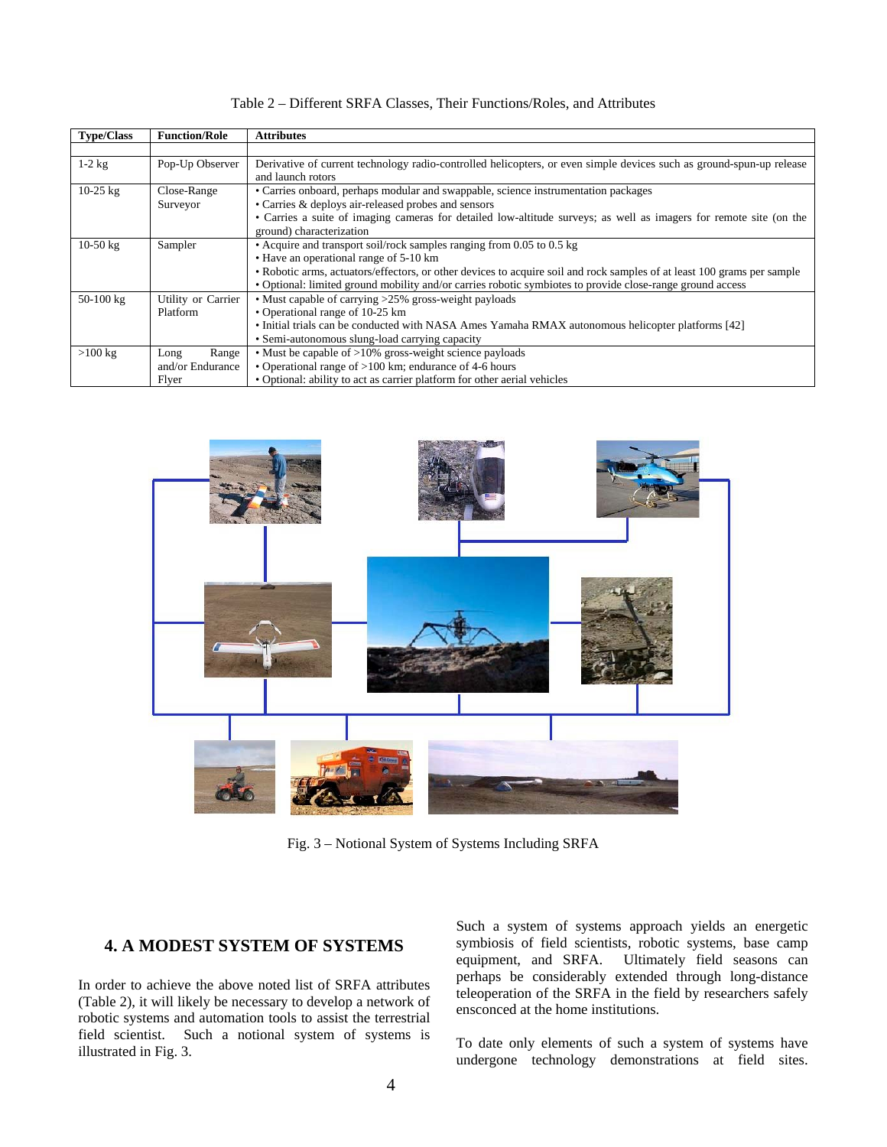| <b>Type/Class</b>  | <b>Function/Role</b> | <b>Attributes</b>                                                                                                       |
|--------------------|----------------------|-------------------------------------------------------------------------------------------------------------------------|
|                    |                      |                                                                                                                         |
| $1-2$ kg           | Pop-Up Observer      | Derivative of current technology radio-controlled helicopters, or even simple devices such as ground-spun-up release    |
|                    |                      | and launch rotors                                                                                                       |
| $10-25$ kg         | Close-Range          | • Carries onboard, perhaps modular and swappable, science instrumentation packages                                      |
|                    | Surveyor             | • Carries & deploys air-released probes and sensors                                                                     |
|                    |                      | • Carries a suite of imaging cameras for detailed low-altitude surveys; as well as imagers for remote site (on the      |
|                    |                      | ground) characterization                                                                                                |
| $10-50 \text{ kg}$ | Sampler              | • Acquire and transport soil/rock samples ranging from 0.05 to 0.5 kg                                                   |
|                    |                      | • Have an operational range of 5-10 km                                                                                  |
|                    |                      | • Robotic arms, actuators/effectors, or other devices to acquire soil and rock samples of at least 100 grams per sample |
|                    |                      | • Optional: limited ground mobility and/or carries robotic symbiotes to provide close-range ground access               |
| $50-100$ kg        | Utility or Carrier   | • Must capable of carrying $>25\%$ gross-weight payloads                                                                |
|                    | Platform             | • Operational range of 10-25 km                                                                                         |
|                    |                      | • Initial trials can be conducted with NASA Ames Yamaha RMAX autonomous helicopter platforms [42]                       |
|                    |                      | • Semi-autonomous slung-load carrying capacity                                                                          |
| $>100$ kg          | Range<br>Long        | • Must be capable of >10% gross-weight science payloads                                                                 |
|                    | and/or Endurance     | • Operational range of $>100$ km; endurance of 4-6 hours                                                                |
|                    | Flver                | • Optional: ability to act as carrier platform for other aerial vehicles                                                |

Table 2 – Different SRFA Classes, Their Functions/Roles, and Attributes



Fig. 3 – Notional System of Systems Including SRFA

#### **4. A MODEST SYSTEM OF SYSTEMS**

In order to achieve the above noted list of SRFA attributes (Table 2), it will likely be necessary to develop a network of robotic systems and automation tools to assist the terrestrial field scientist. Such a notional system of systems is illustrated in Fig. 3.

Such a system of systems approach yields an energetic symbiosis of field scientists, robotic systems, base camp equipment, and SRFA. Ultimately field seasons can perhaps be considerably extended through long-distance teleoperation of the SRFA in the field by researchers safely ensconced at the home institutions.

To date only elements of such a system of systems have undergone technology demonstrations at field sites.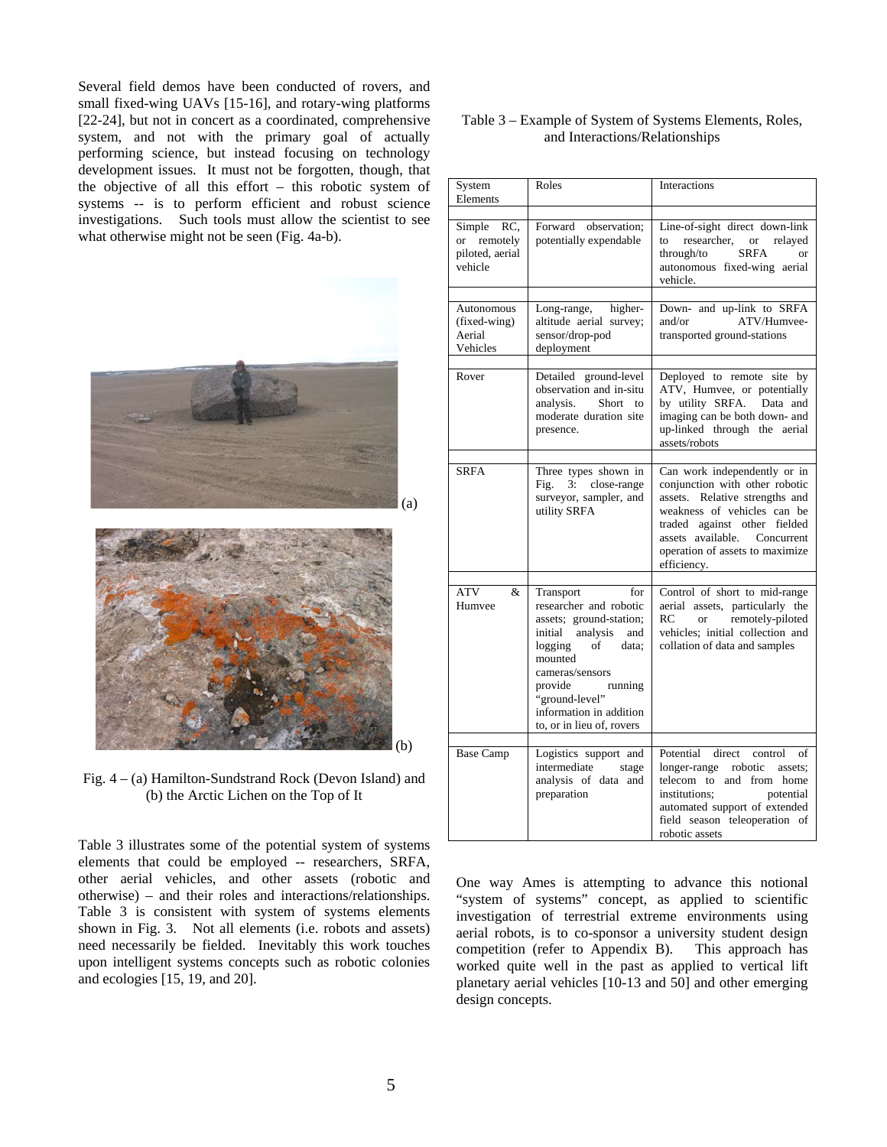Several field demos have been conducted of rovers, and small fixed-wing UAVs [15-16], and rotary-wing platforms [22-24], but not in concert as a coordinated, comprehensive system, and not with the primary goal of actually performing science, but instead focusing on technology development issues. It must not be forgotten, though, that the objective of all this effort – this robotic system of systems -- is to perform efficient and robust science investigations. Such tools must allow the scientist to see what otherwise might not be seen (Fig. 4a-b).





Fig. 4 – (a) Hamilton-Sundstrand Rock (Devon Island) and (b) the Arctic Lichen on the Top of It

Table 3 illustrates some of the potential system of systems elements that could be employed -- researchers, SRFA, other aerial vehicles, and other assets (robotic and otherwise) – and their roles and interactions/relationships. Table 3 is consistent with system of systems elements shown in Fig. 3. Not all elements (i.e. robots and assets) need necessarily be fielded. Inevitably this work touches upon intelligent systems concepts such as robotic colonies and ecologies [15, 19, and 20].

|  | Table 3 – Example of System of Systems Elements, Roles, |  |
|--|---------------------------------------------------------|--|
|  | and Interactions/Relationships                          |  |

| System<br>Elements                                         | Roles                                                                                                                                                                                                                                                    | Interactions                                                                                                                                                                                                                                         |
|------------------------------------------------------------|----------------------------------------------------------------------------------------------------------------------------------------------------------------------------------------------------------------------------------------------------------|------------------------------------------------------------------------------------------------------------------------------------------------------------------------------------------------------------------------------------------------------|
|                                                            |                                                                                                                                                                                                                                                          |                                                                                                                                                                                                                                                      |
| Simple<br>RC,<br>or remotely<br>piloted, aerial<br>vehicle | Forward observation;<br>potentially expendable                                                                                                                                                                                                           | Line-of-sight direct down-link<br>researcher,<br>or<br>relayed<br>to<br>through/to<br><b>SRFA</b><br>autonomous fixed-wing aerial<br>vehicle.                                                                                                        |
|                                                            |                                                                                                                                                                                                                                                          |                                                                                                                                                                                                                                                      |
| Autonomous<br>(fixed-wing)<br>Aerial<br>Vehicles           | Long-range, higher-<br>altitude aerial survey;<br>sensor/drop-pod<br>deployment                                                                                                                                                                          | Down- and up-link to SRFA<br>ATV/Humvee-<br>and/or<br>transported ground-stations                                                                                                                                                                    |
|                                                            |                                                                                                                                                                                                                                                          |                                                                                                                                                                                                                                                      |
| Rover                                                      | Detailed ground-level<br>observation and in-situ<br>analysis.<br>Short to<br>moderate duration site<br>presence.                                                                                                                                         | Deployed to remote site by<br>ATV, Humvee, or potentially<br>by utility SRFA. Data and<br>imaging can be both down- and<br>up-linked through the aerial<br>assets/robots                                                                             |
|                                                            |                                                                                                                                                                                                                                                          |                                                                                                                                                                                                                                                      |
| <b>SRFA</b>                                                | Three types shown in<br>Fig. 3: close-range<br>surveyor, sampler, and<br>utility SRFA                                                                                                                                                                    | Can work independently or in<br>conjunction with other robotic<br>assets. Relative strengths and<br>weakness of vehicles can be<br>against other fielded<br>traded<br>assets available. Concurrent<br>operation of assets to maximize<br>efficiency. |
|                                                            |                                                                                                                                                                                                                                                          |                                                                                                                                                                                                                                                      |
| ATV<br>&<br>Humvee                                         | for<br>Transport<br>researcher and robotic<br>assets; ground-station;<br>initial analysis<br>and<br>of<br>logging<br>data;<br>mounted<br>cameras/sensors<br>provide<br>running<br>"ground-level"<br>information in addition<br>to, or in lieu of, rovers | Control of short to mid-range<br>aerial assets, particularly the<br>remotely-piloted<br>RC<br><b>or</b><br>vehicles; initial collection and<br>collation of data and samples                                                                         |
|                                                            |                                                                                                                                                                                                                                                          |                                                                                                                                                                                                                                                      |
| <b>Base Camp</b>                                           | Logistics support and<br>intermediate<br>stage<br>analysis of data and<br>preparation                                                                                                                                                                    | Potential direct<br>control<br>οf<br>longer-range<br>robotic<br>assets:<br>telecom to and from home<br>institutions:<br>potential<br>automated support of extended<br>field season teleoperation of<br>robotic assets                                |

One way Ames is attempting to advance this notional "system of systems" concept, as applied to scientific investigation of terrestrial extreme environments using aerial robots, is to co-sponsor a university student design competition (refer to Appendix B). This approach has worked quite well in the past as applied to vertical lift planetary aerial vehicles [10-13 and 50] and other emerging design concepts.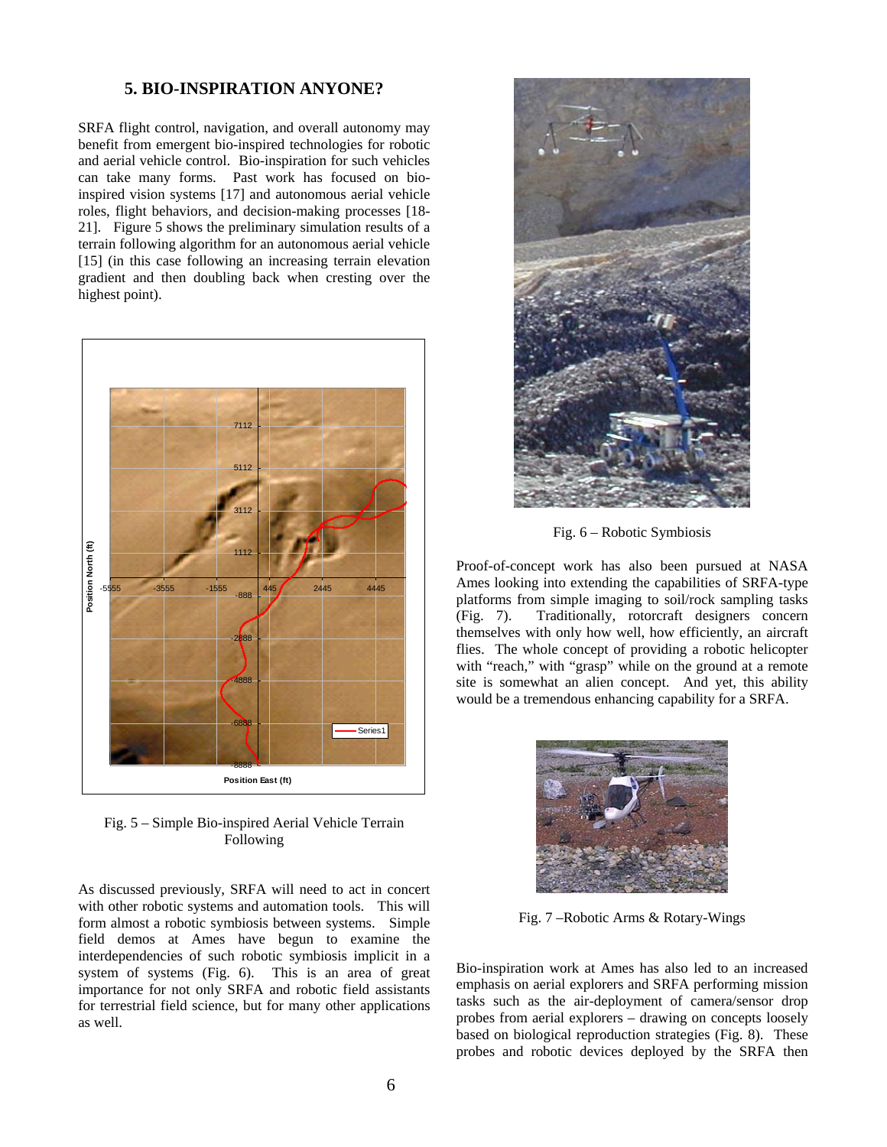#### **5. BIO-INSPIRATION ANYONE?**

SRFA flight control, navigation, and overall autonomy may benefit from emergent bio-inspired technologies for robotic and aerial vehicle control. Bio-inspiration for such vehicles can take many forms. Past work has focused on bioinspired vision systems [17] and autonomous aerial vehicle roles, flight behaviors, and decision-making processes [18- 21]. Figure 5 shows the preliminary simulation results of a terrain following algorithm for an autonomous aerial vehicle [15] (in this case following an increasing terrain elevation gradient and then doubling back when cresting over the highest point).



Fig. 5 – Simple Bio-inspired Aerial Vehicle Terrain Following

As discussed previously, SRFA will need to act in concert with other robotic systems and automation tools. This will form almost a robotic symbiosis between systems. Simple field demos at Ames have begun to examine the interdependencies of such robotic symbiosis implicit in a system of systems (Fig. 6). This is an area of great importance for not only SRFA and robotic field assistants for terrestrial field science, but for many other applications as well.



Fig. 6 – Robotic Symbiosis

Proof-of-concept work has also been pursued at NASA Ames looking into extending the capabilities of SRFA-type platforms from simple imaging to soil/rock sampling tasks (Fig. 7). Traditionally, rotorcraft designers concern themselves with only how well, how efficiently, an aircraft flies. The whole concept of providing a robotic helicopter with "reach," with "grasp" while on the ground at a remote site is somewhat an alien concept. And yet, this ability would be a tremendous enhancing capability for a SRFA.



Fig. 7 –Robotic Arms & Rotary-Wings

Bio-inspiration work at Ames has also led to an increased emphasis on aerial explorers and SRFA performing mission tasks such as the air-deployment of camera/sensor drop probes from aerial explorers – drawing on concepts loosely based on biological reproduction strategies (Fig. 8). These probes and robotic devices deployed by the SRFA then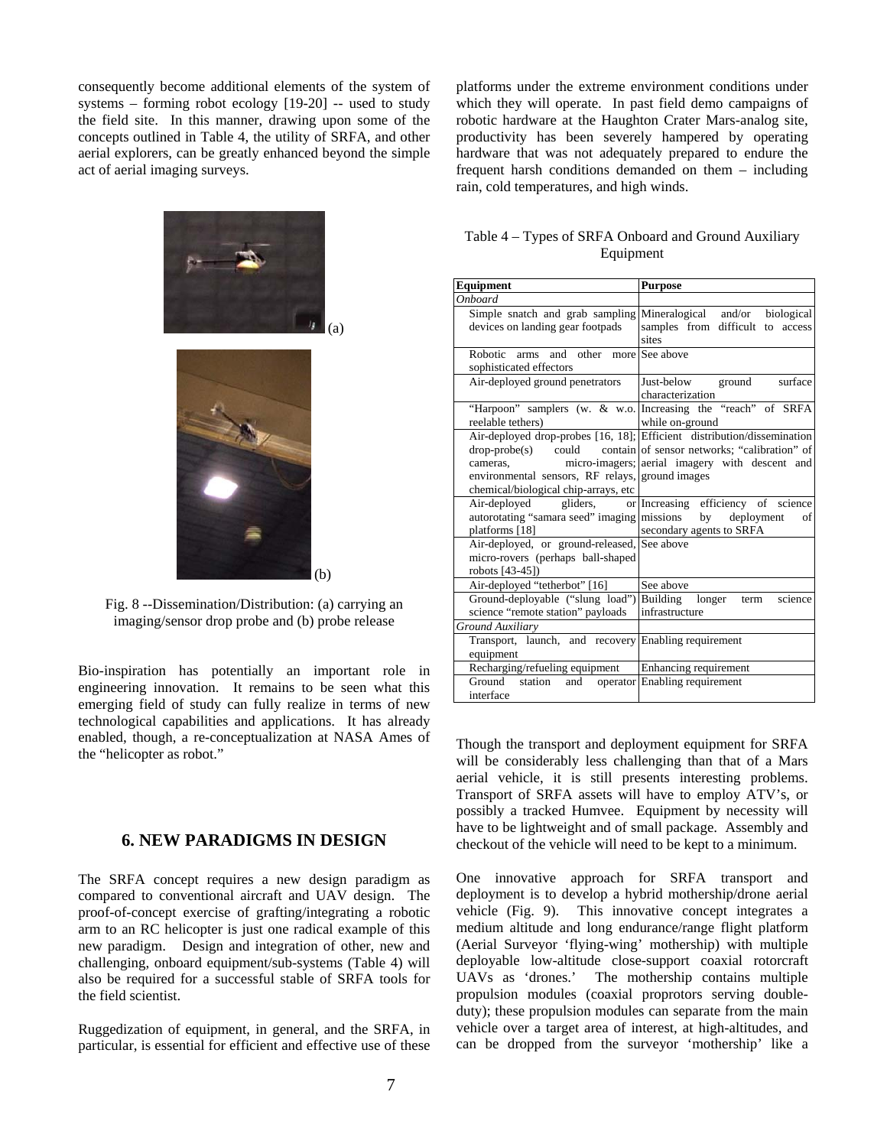consequently become additional elements of the system of systems – forming robot ecology [19-20] -- used to study the field site. In this manner, drawing upon some of the concepts outlined in Table 4, the utility of SRFA, and other aerial explorers, can be greatly enhanced beyond the simple act of aerial imaging surveys.

platforms under the extreme environment conditions under which they will operate. In past field demo campaigns of robotic hardware at the Haughton Crater Mars-analog site, productivity has been severely hampered by operating hardware that was not adequately prepared to endure the frequent harsh conditions demanded on them – including rain, cold temperatures, and high winds.





Fig. 8 --Dissemination/Distribution: (a) carrying an imaging/sensor drop probe and (b) probe release

(b)

Bio-inspiration has potentially an important role in engineering innovation. It remains to be seen what this emerging field of study can fully realize in terms of new technological capabilities and applications. It has already enabled, though, a re-conceptualization at NASA Ames of the "helicopter as robot."

#### **6. NEW PARADIGMS IN DESIGN**

The SRFA concept requires a new design paradigm as compared to conventional aircraft and UAV design. The proof-of-concept exercise of grafting/integrating a robotic arm to an RC helicopter is just one radical example of this new paradigm. Design and integration of other, new and challenging, onboard equipment/sub-systems (Table 4) will also be required for a successful stable of SRFA tools for the field scientist.

Ruggedization of equipment, in general, and the SRFA, in particular, is essential for efficient and effective use of these

| Table 4 – Types of SRFA Onboard and Ground Auxiliary |  |
|------------------------------------------------------|--|
| Equipment                                            |  |

| Equipment                                                                                                         | <b>Purpose</b>                                                                                                                                                                             |
|-------------------------------------------------------------------------------------------------------------------|--------------------------------------------------------------------------------------------------------------------------------------------------------------------------------------------|
| <b>Onboard</b>                                                                                                    |                                                                                                                                                                                            |
| Simple snatch and grab sampling<br>devices on landing gear footpads                                               | Mineralogical and/or<br>biological<br>samples from difficult to access<br>sites                                                                                                            |
| Robotic arms and other more See above<br>sophisticated effectors                                                  |                                                                                                                                                                                            |
| Air-deployed ground penetrators                                                                                   | Just-below<br>ground<br>surface<br>characterization                                                                                                                                        |
| reelable tethers)                                                                                                 | "Harpoon" samplers (w. & w.o. Increasing the "reach" of SRFA<br>while on-ground                                                                                                            |
| $drop-probe(s)$<br>could<br>cameras,<br>environmental sensors, RF relays,<br>chemical/biological chip-arrays, etc | Air-deployed drop-probes [16, 18]; Efficient distribution/dissemination<br>contain of sensor networks; "calibration" of<br>micro-imagers; aerial imagery with descent and<br>ground images |
| gliders,<br>Air-deployed<br><sub>or</sub><br>autorotating "samara seed" imaging<br>platforms [18]                 | Increasing efficiency of science<br>missions<br>by<br>deployment<br>of<br>secondary agents to SRFA                                                                                         |
| Air-deployed, or ground-released,<br>micro-rovers (perhaps ball-shaped<br>robots [43-45])                         | See above                                                                                                                                                                                  |
| Air-deployed "tetherbot" [16]                                                                                     | See above                                                                                                                                                                                  |
| Ground-deployable ("slung load")<br>science "remote station" payloads                                             | Building<br>longer<br>term<br>science<br>infrastructure                                                                                                                                    |
| <b>Ground Auxiliary</b>                                                                                           |                                                                                                                                                                                            |
| Transport, launch, and recovery Enabling requirement<br>equipment                                                 |                                                                                                                                                                                            |
| Recharging/refueling equipment                                                                                    | Enhancing requirement                                                                                                                                                                      |
| Ground station<br>and<br>operator<br>interface                                                                    | Enabling requirement                                                                                                                                                                       |

Though the transport and deployment equipment for SRFA will be considerably less challenging than that of a Mars aerial vehicle, it is still presents interesting problems. Transport of SRFA assets will have to employ ATV's, or possibly a tracked Humvee. Equipment by necessity will have to be lightweight and of small package. Assembly and checkout of the vehicle will need to be kept to a minimum.

One innovative approach for SRFA transport and deployment is to develop a hybrid mothership/drone aerial vehicle (Fig. 9). This innovative concept integrates a medium altitude and long endurance/range flight platform (Aerial Surveyor 'flying-wing' mothership) with multiple deployable low-altitude close-support coaxial rotorcraft UAVs as 'drones.' The mothership contains multiple propulsion modules (coaxial proprotors serving doubleduty); these propulsion modules can separate from the main vehicle over a target area of interest, at high-altitudes, and can be dropped from the surveyor 'mothership' like a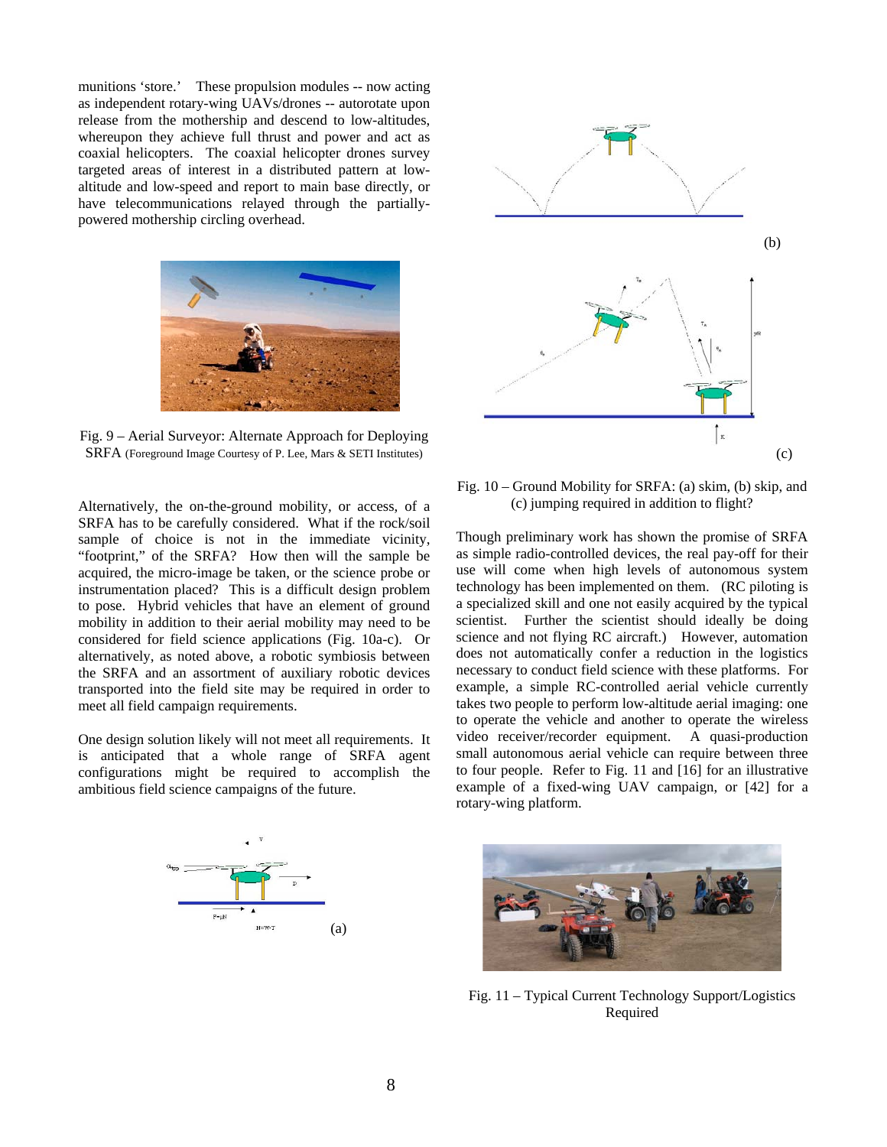munitions 'store.' These propulsion modules -- now acting as independent rotary-wing UAVs/drones -- autorotate upon release from the mothership and descend to low-altitudes, whereupon they achieve full thrust and power and act as coaxial helicopters. The coaxial helicopter drones survey targeted areas of interest in a distributed pattern at lowaltitude and low-speed and report to main base directly, or have telecommunications relayed through the partiallypowered mothership circling overhead.



Fig. 9 – Aerial Surveyor: Alternate Approach for Deploying SRFA (Foreground Image Courtesy of P. Lee, Mars & SETI Institutes)

Alternatively, the on-the-ground mobility, or access, of a SRFA has to be carefully considered. What if the rock/soil sample of choice is not in the immediate vicinity, "footprint," of the SRFA? How then will the sample be acquired, the micro-image be taken, or the science probe or instrumentation placed? This is a difficult design problem to pose. Hybrid vehicles that have an element of ground mobility in addition to their aerial mobility may need to be considered for field science applications (Fig. 10a-c). Or alternatively, as noted above, a robotic symbiosis between the SRFA and an assortment of auxiliary robotic devices transported into the field site may be required in order to meet all field campaign requirements.

One design solution likely will not meet all requirements. It is anticipated that a whole range of SRFA agent configurations might be required to accomplish the ambitious field science campaigns of the future.





Fig. 10 – Ground Mobility for SRFA: (a) skim, (b) skip, and (c) jumping required in addition to flight?

Though preliminary work has shown the promise of SRFA as simple radio-controlled devices, the real pay-off for their use will come when high levels of autonomous system technology has been implemented on them. (RC piloting is a specialized skill and one not easily acquired by the typical scientist. Further the scientist should ideally be doing science and not flying RC aircraft.) However, automation does not automatically confer a reduction in the logistics necessary to conduct field science with these platforms. For example, a simple RC-controlled aerial vehicle currently takes two people to perform low-altitude aerial imaging: one to operate the vehicle and another to operate the wireless video receiver/recorder equipment. A quasi-production small autonomous aerial vehicle can require between three to four people. Refer to Fig. 11 and [16] for an illustrative example of a fixed-wing UAV campaign, or [42] for a rotary-wing platform.



Fig. 11 – Typical Current Technology Support/Logistics Required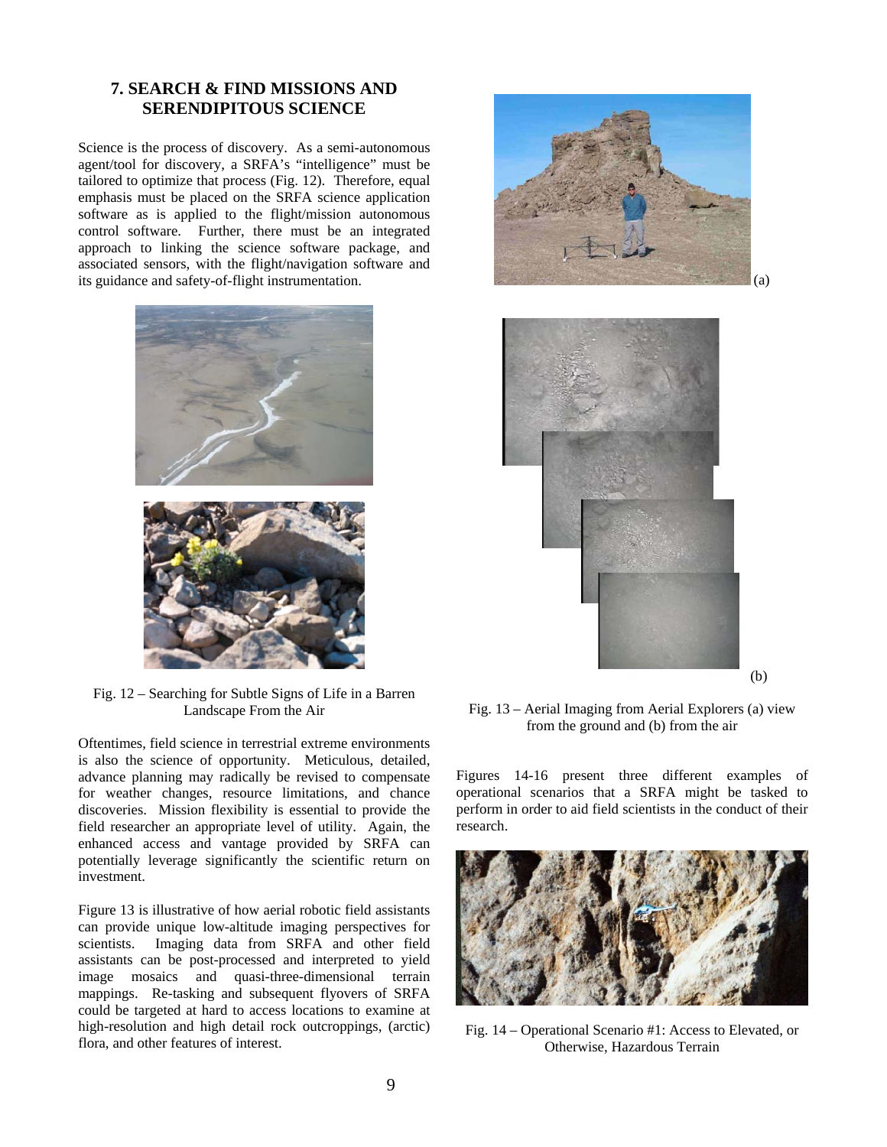## **7. SEARCH & FIND MISSIONS AND SERENDIPITOUS SCIENCE**

Science is the process of discovery. As a semi-autonomous agent/tool for discovery, a SRFA's "intelligence" must be tailored to optimize that process (Fig. 12). Therefore, equal emphasis must be placed on the SRFA science application software as is applied to the flight/mission autonomous control software. Further, there must be an integrated approach to linking the science software package, and associated sensors, with the flight/navigation software and its guidance and safety-of-flight instrumentation.



Fig. 12 – Searching for Subtle Signs of Life in a Barren Landscape From the Air

Oftentimes, field science in terrestrial extreme environments is also the science of opportunity. Meticulous, detailed, advance planning may radically be revised to compensate for weather changes, resource limitations, and chance discoveries. Mission flexibility is essential to provide the field researcher an appropriate level of utility. Again, the enhanced access and vantage provided by SRFA can potentially leverage significantly the scientific return on investment.

Figure 13 is illustrative of how aerial robotic field assistants can provide unique low-altitude imaging perspectives for scientists. Imaging data from SRFA and other field assistants can be post-processed and interpreted to yield image mosaics and quasi-three-dimensional terrain mappings. Re-tasking and subsequent flyovers of SRFA could be targeted at hard to access locations to examine at high-resolution and high detail rock outcroppings, (arctic) flora, and other features of interest.





Fig. 13 – Aerial Imaging from Aerial Explorers (a) view from the ground and (b) from the air

Figures 14-16 present three different examples of operational scenarios that a SRFA might be tasked to perform in order to aid field scientists in the conduct of their research.



Fig. 14 – Operational Scenario #1: Access to Elevated, or Otherwise, Hazardous Terrain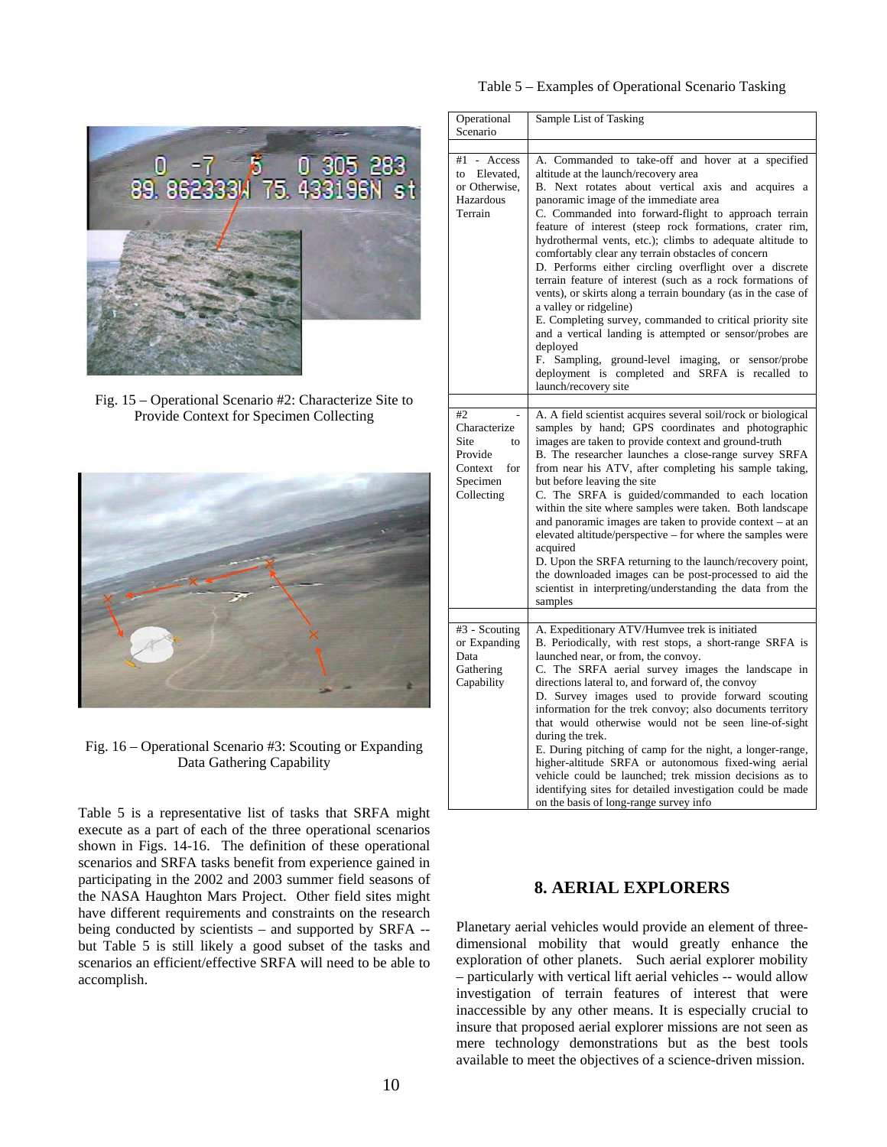

Fig. 15 – Operational Scenario #2: Characterize Site to Provide Context for Specimen Collecting



Fig. 16 – Operational Scenario #3: Scouting or Expanding Data Gathering Capability

Table 5 is a representative list of tasks that SRFA might execute as a part of each of the three operational scenarios shown in Figs. 14-16. The definition of these operational scenarios and SRFA tasks benefit from experience gained in participating in the 2002 and 2003 summer field seasons of the NASA Haughton Mars Project. Other field sites might have different requirements and constraints on the research being conducted by scientists – and supported by SRFA - but Table 5 is still likely a good subset of the tasks and scenarios an efficient/effective SRFA will need to be able to accomplish.

| Operational                                                                             | Sample List of Tasking                                                                                                                                                                                                                                                                                                                                                                                                                                                                                                                                                                                                                                                                                                                                                                                                                                                                                                 |
|-----------------------------------------------------------------------------------------|------------------------------------------------------------------------------------------------------------------------------------------------------------------------------------------------------------------------------------------------------------------------------------------------------------------------------------------------------------------------------------------------------------------------------------------------------------------------------------------------------------------------------------------------------------------------------------------------------------------------------------------------------------------------------------------------------------------------------------------------------------------------------------------------------------------------------------------------------------------------------------------------------------------------|
| Scenario                                                                                |                                                                                                                                                                                                                                                                                                                                                                                                                                                                                                                                                                                                                                                                                                                                                                                                                                                                                                                        |
| #1<br>Access<br>to Elevated.<br>or Otherwise,<br>Hazardous<br>Terrain                   | A. Commanded to take-off and hover at a specified<br>altitude at the launch/recovery area<br>B. Next rotates about vertical axis and acquires a<br>panoramic image of the immediate area<br>C. Commanded into forward-flight to approach terrain<br>feature of interest (steep rock formations, crater rim,<br>hydrothermal vents, etc.); climbs to adequate altitude to<br>comfortably clear any terrain obstacles of concern<br>D. Performs either circling overflight over a discrete<br>terrain feature of interest (such as a rock formations of<br>vents), or skirts along a terrain boundary (as in the case of<br>a valley or ridgeline)<br>E. Completing survey, commanded to critical priority site<br>and a vertical landing is attempted or sensor/probes are<br>deployed<br>F. Sampling, ground-level imaging, or sensor/probe<br>deployment is completed and SRFA is recalled to<br>launch/recovery site |
|                                                                                         |                                                                                                                                                                                                                                                                                                                                                                                                                                                                                                                                                                                                                                                                                                                                                                                                                                                                                                                        |
| #2<br>Characterize<br>Site<br>to<br>Provide<br>for<br>Context<br>Specimen<br>Collecting | A. A field scientist acquires several soil/rock or biological<br>samples by hand; GPS coordinates and photographic<br>images are taken to provide context and ground-truth<br>B. The researcher launches a close-range survey SRFA<br>from near his ATV, after completing his sample taking,<br>but before leaving the site<br>C. The SRFA is guided/commanded to each location<br>within the site where samples were taken. Both landscape<br>and panoramic images are taken to provide context – at an<br>elevated altitude/perspective – for where the samples were<br>acquired<br>D. Upon the SRFA returning to the launch/recovery point,<br>the downloaded images can be post-processed to aid the<br>scientist in interpreting/understanding the data from the<br>samples                                                                                                                                       |
|                                                                                         |                                                                                                                                                                                                                                                                                                                                                                                                                                                                                                                                                                                                                                                                                                                                                                                                                                                                                                                        |
| #3 - Scouting<br>or Expanding<br>Data<br>Gathering<br>Capability                        | A. Expeditionary ATV/Humvee trek is initiated<br>B. Periodically, with rest stops, a short-range SRFA is<br>launched near, or from, the convoy.<br>C. The SRFA aerial survey images the landscape in<br>directions lateral to, and forward of, the convoy<br>D. Survey images used to provide forward scouting<br>information for the trek convoy; also documents territory<br>that would otherwise would not be seen line-of-sight<br>during the trek.<br>E. During pitching of camp for the night, a longer-range,<br>higher-altitude SRFA or autonomous fixed-wing aerial<br>vehicle could be launched; trek mission decisions as to<br>identifying sites for detailed investigation could be made<br>on the basis of long-range survey info                                                                                                                                                                        |

## **8. AERIAL EXPLORERS**

Planetary aerial vehicles would provide an element of threedimensional mobility that would greatly enhance the exploration of other planets. Such aerial explorer mobility – particularly with vertical lift aerial vehicles -- would allow investigation of terrain features of interest that were inaccessible by any other means. It is especially crucial to insure that proposed aerial explorer missions are not seen as mere technology demonstrations but as the best tools available to meet the objectives of a science-driven mission.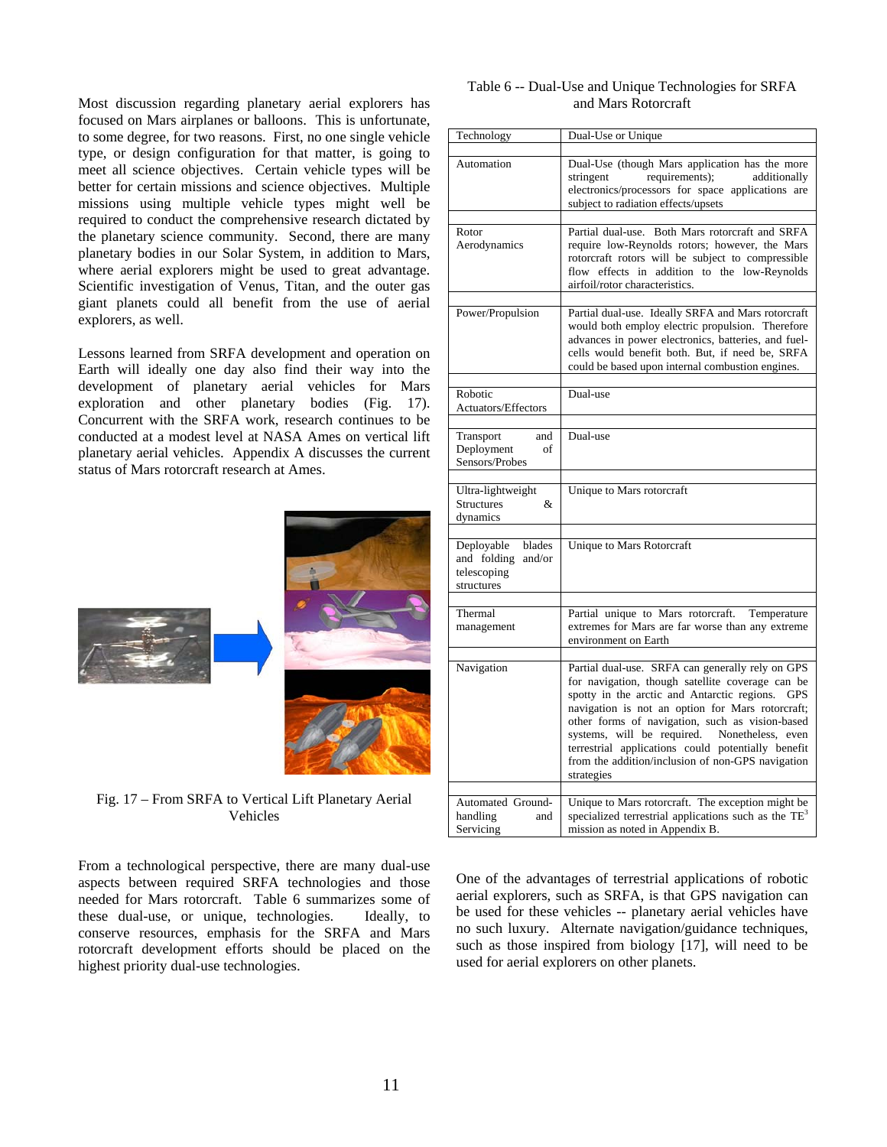Most discussion regarding planetary aerial explorers has focused on Mars airplanes or balloons. This is unfortunate, to some degree, for two reasons. First, no one single vehicle type, or design configuration for that matter, is going to meet all science objectives. Certain vehicle types will be better for certain missions and science objectives. Multiple missions using multiple vehicle types might well be required to conduct the comprehensive research dictated by the planetary science community. Second, there are many planetary bodies in our Solar System, in addition to Mars, where aerial explorers might be used to great advantage. Scientific investigation of Venus, Titan, and the outer gas giant planets could all benefit from the use of aerial explorers, as well.

Lessons learned from SRFA development and operation on Earth will ideally one day also find their way into the development of planetary aerial vehicles for Mars exploration and other planetary bodies (Fig. 17). Concurrent with the SRFA work, research continues to be conducted at a modest level at NASA Ames on vertical lift planetary aerial vehicles. Appendix A discusses the current status of Mars rotorcraft research at Ames.



Fig. 17 – From SRFA to Vertical Lift Planetary Aerial Vehicles

From a technological perspective, there are many dual-use aspects between required SRFA technologies and those needed for Mars rotorcraft. Table 6 summarizes some of these dual-use, or unique, technologies. Ideally, to conserve resources, emphasis for the SRFA and Mars rotorcraft development efforts should be placed on the highest priority dual-use technologies.

| Table 6 -- Dual-Use and Unique Technologies for SRFA |
|------------------------------------------------------|
| and Mars Rotorcraft                                  |

| Technology                                                                 | Dual-Use or Unique                                                                                                                                                                                                                                                                                                                                                                                                                      |
|----------------------------------------------------------------------------|-----------------------------------------------------------------------------------------------------------------------------------------------------------------------------------------------------------------------------------------------------------------------------------------------------------------------------------------------------------------------------------------------------------------------------------------|
| Automation                                                                 | Dual-Use (though Mars application has the more<br>stringent<br>requirements);<br>additionally<br>electronics/processors for space applications are<br>subject to radiation effects/upsets                                                                                                                                                                                                                                               |
| Rotor<br>Aerodynamics                                                      | Partial dual-use. Both Mars rotorcraft and SRFA<br>require low-Reynolds rotors; however, the Mars<br>rotorcraft rotors will be subject to compressible<br>flow effects in addition to the low-Reynolds<br>airfoil/rotor characteristics.                                                                                                                                                                                                |
| Power/Propulsion                                                           | Partial dual-use. Ideally SRFA and Mars rotorcraft<br>would both employ electric propulsion. Therefore<br>advances in power electronics, batteries, and fuel-<br>cells would benefit both. But, if need be, SRFA<br>could be based upon internal combustion engines.                                                                                                                                                                    |
| Robotic<br><b>Actuators/Effectors</b>                                      | Dual-use                                                                                                                                                                                                                                                                                                                                                                                                                                |
| Transport<br>and<br>Deployment<br>of<br>Sensors/Probes                     | Dual-use                                                                                                                                                                                                                                                                                                                                                                                                                                |
| Ultra-lightweight<br>&<br><b>Structures</b><br>dynamics                    | Unique to Mars rotorcraft                                                                                                                                                                                                                                                                                                                                                                                                               |
| Deployable<br>blades<br>and folding<br>and/or<br>telescoping<br>structures | Unique to Mars Rotorcraft                                                                                                                                                                                                                                                                                                                                                                                                               |
| Thermal<br>management                                                      | Partial unique to Mars rotorcraft.<br>Temperature<br>extremes for Mars are far worse than any extreme<br>environment on Earth                                                                                                                                                                                                                                                                                                           |
| Navigation                                                                 | Partial dual-use. SRFA can generally rely on GPS<br>for navigation, though satellite coverage can be<br>spotty in the arctic and Antarctic regions. GPS<br>navigation is not an option for Mars rotorcraft;<br>other forms of navigation, such as vision-based<br>systems, will be required. Nonetheless, even<br>terrestrial applications could potentially benefit<br>from the addition/inclusion of non-GPS navigation<br>strategies |
| Automated Ground-<br>handling<br>and<br>Servicing                          | Unique to Mars rotorcraft. The exception might be<br>specialized terrestrial applications such as the TE <sup>3</sup><br>mission as noted in Appendix B.                                                                                                                                                                                                                                                                                |

One of the advantages of terrestrial applications of robotic aerial explorers, such as SRFA, is that GPS navigation can be used for these vehicles -- planetary aerial vehicles have no such luxury. Alternate navigation/guidance techniques, such as those inspired from biology [17], will need to be used for aerial explorers on other planets.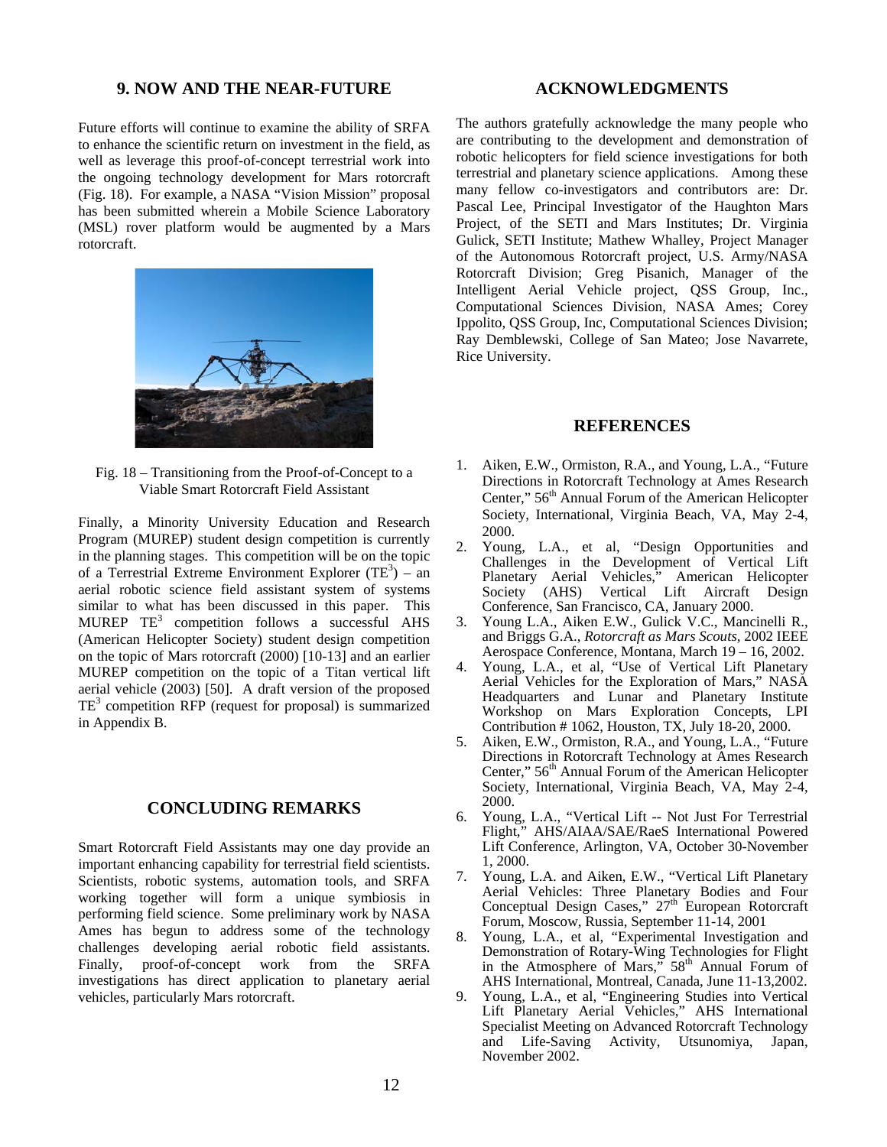#### **9. NOW AND THE NEAR-FUTURE**

Future efforts will continue to examine the ability of SRFA to enhance the scientific return on investment in the field, as well as leverage this proof-of-concept terrestrial work into the ongoing technology development for Mars rotorcraft (Fig. 18). For example, a NASA "Vision Mission" proposal has been submitted wherein a Mobile Science Laboratory (MSL) rover platform would be augmented by a Mars rotorcraft.



Fig. 18 – Transitioning from the Proof-of-Concept to a Viable Smart Rotorcraft Field Assistant

Finally, a Minority University Education and Research Program (MUREP) student design competition is currently in the planning stages. This competition will be on the topic of a Terrestrial Extreme Environment Explorer  $(TE^3)$  – an aerial robotic science field assistant system of systems similar to what has been discussed in this paper. This MUREP  $TE^3$  competition follows a successful AHS (American Helicopter Society) student design competition on the topic of Mars rotorcraft (2000) [10-13] and an earlier MUREP competition on the topic of a Titan vertical lift aerial vehicle (2003) [50]. A draft version of the proposed  $TE<sup>3</sup>$  competition RFP (request for proposal) is summarized in Appendix B.

#### **CONCLUDING REMARKS**

Smart Rotorcraft Field Assistants may one day provide an important enhancing capability for terrestrial field scientists. Scientists, robotic systems, automation tools, and SRFA working together will form a unique symbiosis in performing field science. Some preliminary work by NASA Ames has begun to address some of the technology challenges developing aerial robotic field assistants. Finally, proof-of-concept work from the SRFA investigations has direct application to planetary aerial vehicles, particularly Mars rotorcraft.

#### **ACKNOWLEDGMENTS**

The authors gratefully acknowledge the many people who are contributing to the development and demonstration of robotic helicopters for field science investigations for both terrestrial and planetary science applications. Among these many fellow co-investigators and contributors are: Dr. Pascal Lee, Principal Investigator of the Haughton Mars Project, of the SETI and Mars Institutes; Dr. Virginia Gulick, SETI Institute; Mathew Whalley, Project Manager of the Autonomous Rotorcraft project, U.S. Army/NASA Rotorcraft Division; Greg Pisanich, Manager of the Intelligent Aerial Vehicle project, QSS Group, Inc., Computational Sciences Division, NASA Ames; Corey Ippolito, QSS Group, Inc, Computational Sciences Division; Ray Demblewski, College of San Mateo; Jose Navarrete, Rice University.

#### **REFERENCES**

- 1. Aiken, E.W., Ormiston, R.A., and Young, L.A., "Future Directions in Rotorcraft Technology at Ames Research Center,"  $56<sup>th</sup>$  Annual Forum of the American Helicopter Society, International, Virginia Beach, VA, May 2-4, 2000.
- 2. Young, L.A., et al, "Design Opportunities and Challenges in the Development of Vertical Lift Planetary Aerial Vehicles," American Helicopter Society (AHS) Vertical Lift Aircraft Design Conference, San Francisco, CA, January 2000.
- 3. Young L.A., Aiken E.W., Gulick V.C., Mancinelli R., and Briggs G.A., *Rotorcraft as Mars Scouts,* 2002 IEEE Aerospace Conference, Montana, March 19 – 16, 2002.
- 4. Young, L.A., et al, "Use of Vertical Lift Planetary Aerial Vehicles for the Exploration of Mars," NASA Headquarters and Lunar and Planetary Institute Workshop on Mars Exploration Concepts, LPI Contribution # 1062, Houston, TX, July 18-20, 2000.
- 5. Aiken, E.W., Ormiston, R.A., and Young, L.A., "Future Directions in Rotorcraft Technology at Ames Research Center," 56<sup>th</sup> Annual Forum of the American Helicopter Society, International, Virginia Beach, VA, May 2-4, 2000.
- 6. Young, L.A., "Vertical Lift -- Not Just For Terrestrial Flight," AHS/AIAA/SAE/RaeS International Powered Lift Conference, Arlington, VA, October 30-November 1, 2000.
- 7. Young, L.A. and Aiken, E.W., "Vertical Lift Planetary Aerial Vehicles: Three Planetary Bodies and Four Conceptual Design Cases,"  $27<sup>th</sup>$  European Rotorcraft Forum, Moscow, Russia, September 11-14, 2001
- 8. Young, L.A., et al, "Experimental Investigation and Demonstration of Rotary-Wing Technologies for Flight in the Atmosphere of Mars,"  $58<sup>th</sup>$  Annual Forum of AHS International, Montreal, Canada, June 11-13,2002.
- 9. Young, L.A., et al, "Engineering Studies into Vertical Lift Planetary Aerial Vehicles," AHS International Specialist Meeting on Advanced Rotorcraft Technology and Life-Saving Activity, Utsunomiya, Japan, November 2002.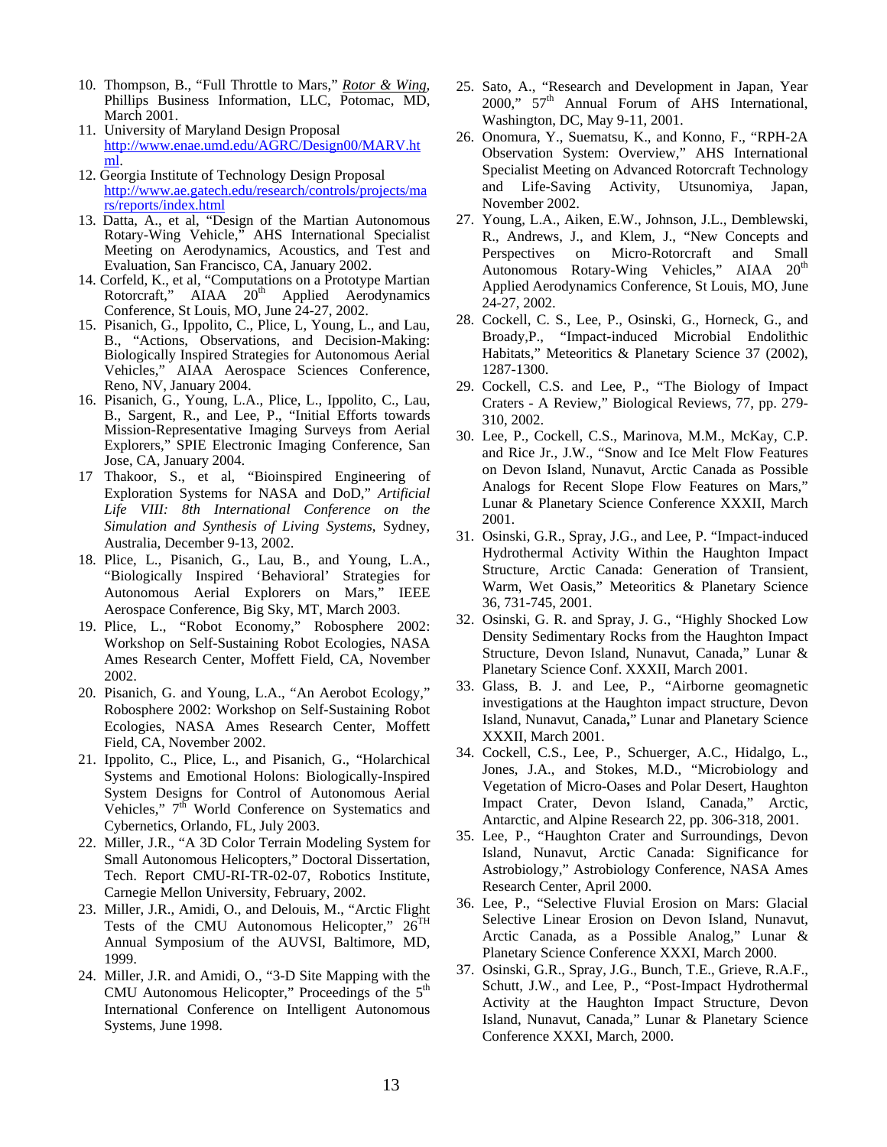- 10. Thompson, B., "Full Throttle to Mars," *Rotor & Wing*, Phillips Business Information, LLC, Potomac, MD, March 2001.
- 11. University of Maryland Design Proposal http://www.enae.umd.edu/AGRC/Design00/MARV.ht ml.
- 12. Georgia Institute of Technology Design Proposal http://www.ae.gatech.edu/research/controls/projects/ma rs/reports/index.html
- 13. Datta, A., et al, "Design of the Martian Autonomous Rotary-Wing Vehicle," AHS International Specialist Meeting on Aerodynamics, Acoustics, and Test and Evaluation, San Francisco, CA, January 2002.
- 14. Corfeld, K., et al, "Computations on a Prototype Martian Rotorcraft," AIAA  $20<sup>th</sup>$  Applied Aerodynamics Conference, St Louis, MO, June 24-27, 2002.
- 15. Pisanich, G., Ippolito, C., Plice, L, Young, L., and Lau, B., "Actions, Observations, and Decision-Making: Biologically Inspired Strategies for Autonomous Aerial Vehicles," AIAA Aerospace Sciences Conference, Reno, NV, January 2004.
- 16. Pisanich, G., Young, L.A., Plice, L., Ippolito, C., Lau, B., Sargent, R., and Lee, P., "Initial Efforts towards Mission-Representative Imaging Surveys from Aerial Explorers," SPIE Electronic Imaging Conference, San Jose, CA, January 2004.
- 17 Thakoor, S., et al, "Bioinspired Engineering of Exploration Systems for NASA and DoD," *Artificial Life VIII: 8th International Conference on the Simulation and Synthesis of Living Systems*, Sydney, Australia, December 9-13, 2002.
- 18. Plice, L., Pisanich, G., Lau, B., and Young, L.A., "Biologically Inspired 'Behavioral' Strategies for Autonomous Aerial Explorers on Mars," IEEE Aerospace Conference, Big Sky, MT, March 2003.
- 19. Plice, L., "Robot Economy," Robosphere 2002: Workshop on Self-Sustaining Robot Ecologies, NASA Ames Research Center, Moffett Field, CA, November 2002.
- 20. Pisanich, G. and Young, L.A., "An Aerobot Ecology," Robosphere 2002: Workshop on Self-Sustaining Robot Ecologies, NASA Ames Research Center, Moffett Field, CA, November 2002.
- 21. Ippolito, C., Plice, L., and Pisanich, G., "Holarchical Systems and Emotional Holons: Biologically-Inspired System Designs for Control of Autonomous Aerial Vehicles," 7<sup>th</sup> World Conference on Systematics and Cybernetics, Orlando, FL, July 2003.
- 22. Miller, J.R., "A 3D Color Terrain Modeling System for Small Autonomous Helicopters," Doctoral Dissertation, Tech. Report CMU-RI-TR-02-07, Robotics Institute, Carnegie Mellon University, February, 2002.
- 23. Miller, J.R., Amidi, O., and Delouis, M., "Arctic Flight Tests of the CMU Autonomous Helicopter,"  $26<sup>TH</sup>$ Annual Symposium of the AUVSI, Baltimore, MD, 1999.
- 24. Miller, J.R. and Amidi, O., "3-D Site Mapping with the CMU Autonomous Helicopter," Proceedings of the  $5<sup>th</sup>$ International Conference on Intelligent Autonomous Systems, June 1998.
- 25. Sato, A., "Research and Development in Japan, Year 2000," 57<sup>th</sup> Annual Forum of AHS International, Washington, DC, May 9-11, 2001.
- 26. Onomura, Y., Suematsu, K., and Konno, F., "RPH-2A Observation System: Overview," AHS International Specialist Meeting on Advanced Rotorcraft Technology and Life-Saving Activity, Utsunomiya, Japan, November 2002.
- 27. Young, L.A., Aiken, E.W., Johnson, J.L., Demblewski, R., Andrews, J., and Klem, J., "New Concepts and Perspectives on Micro-Rotorcraft and Small Autonomous Rotary-Wing Vehicles," AIAA 20<sup>th</sup> Applied Aerodynamics Conference, St Louis, MO, June 24-27, 2002.
- 28. Cockell, C. S., Lee, P., Osinski, G., Horneck, G., and Broady,P., "Impact-induced Microbial Endolithic Habitats," Meteoritics & Planetary Science 37 (2002), 1287-1300.
- 29. Cockell, C.S. and Lee, P., "The Biology of Impact Craters - A Review," Biological Reviews, 77, pp. 279- 310, 2002.
- 30. Lee, P., Cockell, C.S., Marinova, M.M., McKay, C.P. and Rice Jr., J.W., "Snow and Ice Melt Flow Features on Devon Island, Nunavut, Arctic Canada as Possible Analogs for Recent Slope Flow Features on Mars," Lunar & Planetary Science Conference XXXII, March 2001.
- 31. Osinski, G.R., Spray, J.G., and Lee, P. "Impact-induced Hydrothermal Activity Within the Haughton Impact Structure, Arctic Canada: Generation of Transient, Warm, Wet Oasis," Meteoritics & Planetary Science 36, 731-745, 2001.
- 32. Osinski, G. R. and Spray, J. G., "Highly Shocked Low Density Sedimentary Rocks from the Haughton Impact Structure, Devon Island, Nunavut, Canada," Lunar & Planetary Science Conf. XXXII, March 2001.
- 33. Glass, B. J. and Lee, P., "Airborne geomagnetic investigations at the Haughton impact structure, Devon Island, Nunavut, Canada**,**" Lunar and Planetary Science XXXII, March 2001.
- 34. Cockell, C.S., Lee, P., Schuerger, A.C., Hidalgo, L., Jones, J.A., and Stokes, M.D., "Microbiology and Vegetation of Micro-Oases and Polar Desert, Haughton Impact Crater, Devon Island, Canada," Arctic, Antarctic, and Alpine Research 22, pp. 306-318, 2001.
- 35. Lee, P., "Haughton Crater and Surroundings, Devon Island, Nunavut, Arctic Canada: Significance for Astrobiology," Astrobiology Conference, NASA Ames Research Center, April 2000.
- 36. Lee, P., "Selective Fluvial Erosion on Mars: Glacial Selective Linear Erosion on Devon Island, Nunavut, Arctic Canada, as a Possible Analog," Lunar & Planetary Science Conference XXXI, March 2000.
- 37. Osinski, G.R., Spray, J.G., Bunch, T.E., Grieve, R.A.F., Schutt, J.W., and Lee, P., "Post-Impact Hydrothermal Activity at the Haughton Impact Structure, Devon Island, Nunavut, Canada," Lunar & Planetary Science Conference XXXI, March, 2000.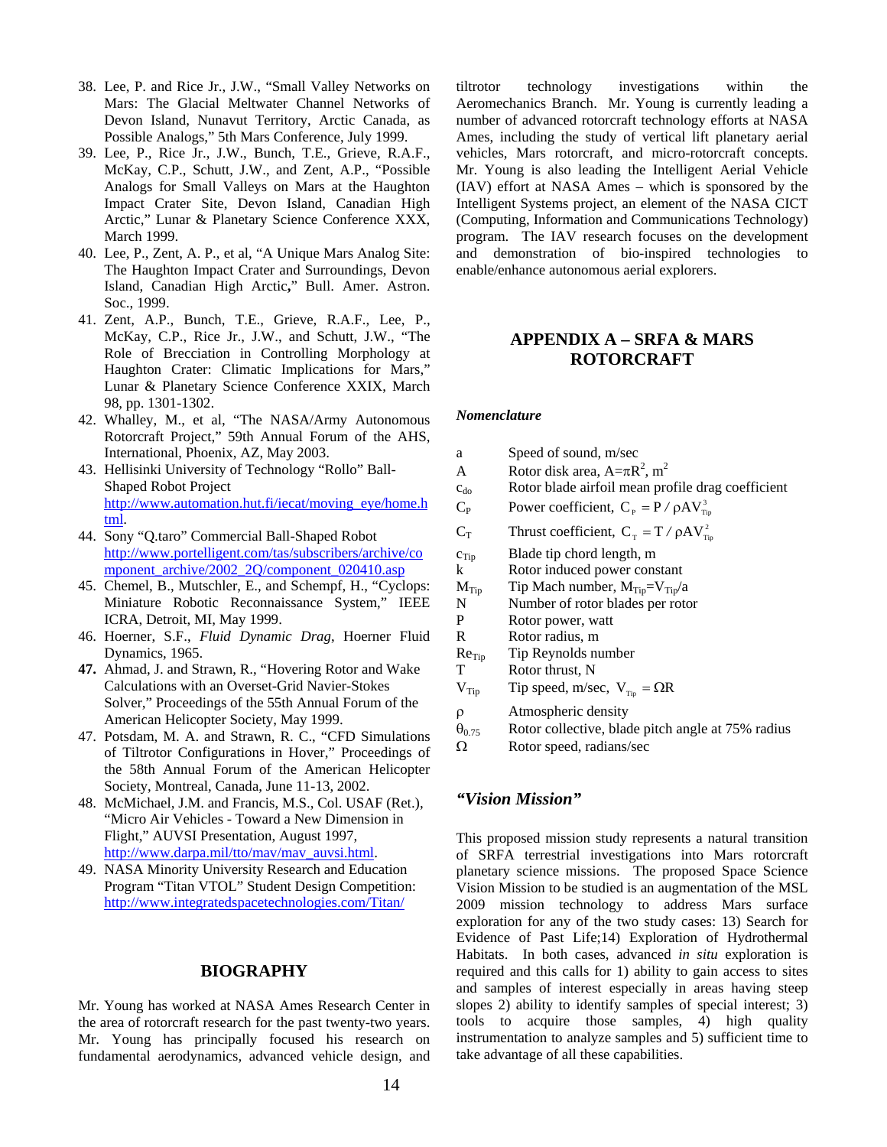- 38. Lee, P. and Rice Jr., J.W., "Small Valley Networks on Mars: The Glacial Meltwater Channel Networks of Devon Island, Nunavut Territory, Arctic Canada, as Possible Analogs," 5th Mars Conference, July 1999.
- 39. Lee, P., Rice Jr., J.W., Bunch, T.E., Grieve, R.A.F., McKay, C.P., Schutt, J.W., and Zent, A.P., "Possible Analogs for Small Valleys on Mars at the Haughton Impact Crater Site, Devon Island, Canadian High Arctic," Lunar & Planetary Science Conference XXX, March 1999.
- 40. Lee, P., Zent, A. P., et al, "A Unique Mars Analog Site: The Haughton Impact Crater and Surroundings, Devon Island, Canadian High Arctic**,**" Bull. Amer. Astron. Soc., 1999.
- 41. Zent, A.P., Bunch, T.E., Grieve, R.A.F., Lee, P., McKay, C.P., Rice Jr., J.W., and Schutt, J.W., "The Role of Brecciation in Controlling Morphology at Haughton Crater: Climatic Implications for Mars," Lunar & Planetary Science Conference XXIX, March 98, pp. 1301-1302.
- 42. Whalley, M., et al, "The NASA/Army Autonomous Rotorcraft Project," 59th Annual Forum of the AHS, International, Phoenix, AZ, May 2003.
- 43. Hellisinki University of Technology "Rollo" Ball-Shaped Robot Project http://www.automation.hut.fi/iecat/moving\_eye/home.h tml.
- 44. Sony "Q.taro" Commercial Ball-Shaped Robot http://www.portelligent.com/tas/subscribers/archive/co mponent\_archive/2002\_2Q/component\_020410.asp
- 45. Chemel, B., Mutschler, E., and Schempf, H., "Cyclops: Miniature Robotic Reconnaissance System," IEEE ICRA, Detroit, MI, May 1999.
- 46. Hoerner, S.F., *Fluid Dynamic Drag*, Hoerner Fluid Dynamics, 1965.
- **47.** Ahmad, J. and Strawn, R., "Hovering Rotor and Wake Calculations with an Overset-Grid Navier-Stokes Solver," Proceedings of the 55th Annual Forum of the American Helicopter Society, May 1999.
- 47. Potsdam, M. A. and Strawn, R. C., "CFD Simulations of Tiltrotor Configurations in Hover," Proceedings of the 58th Annual Forum of the American Helicopter Society, Montreal, Canada, June 11-13, 2002.
- 48. McMichael, J.M. and Francis, M.S., Col. USAF (Ret.), "Micro Air Vehicles - Toward a New Dimension in Flight," AUVSI Presentation, August 1997, http://www.darpa.mil/tto/mav/mav\_auvsi.html.
- 49. NASA Minority University Research and Education Program "Titan VTOL" Student Design Competition: http://www.integratedspacetechnologies.com/Titan/

#### **BIOGRAPHY**

Mr. Young has worked at NASA Ames Research Center in the area of rotorcraft research for the past twenty-two years. Mr. Young has principally focused his research on fundamental aerodynamics, advanced vehicle design, and

tiltrotor technology investigations within the Aeromechanics Branch. Mr. Young is currently leading a number of advanced rotorcraft technology efforts at NASA Ames, including the study of vertical lift planetary aerial vehicles, Mars rotorcraft, and micro-rotorcraft concepts. Mr. Young is also leading the Intelligent Aerial Vehicle (IAV) effort at NASA Ames – which is sponsored by the Intelligent Systems project, an element of the NASA CICT (Computing, Information and Communications Technology) program. The IAV research focuses on the development and demonstration of bio-inspired technologies to enable/enhance autonomous aerial explorers.

## **APPENDIX A – SRFA & MARS ROTORCRAFT**

#### *Nomenclature*

a Speed of sound, m/sec A Rotor disk area,  $A = \pi R^2$ , m<sup>2</sup>  $c_{\rm do}$  Rotor blade airfoil mean profile drag coefficient  $C_P$  Power coefficient,  $C_P = P / \rho A V_{\text{Tip}}^3$  $C_T$  Thrust coefficient,  $C_T = T / \rho A V_{Tip}^2$  $c_{\text{Tip}}$  Blade tip chord length, m k Rotor induced power constant  $M_{Tip}$  Tip Mach number,  $M_{Tip} = V_{Tip}/a$ N Number of rotor blades per rotor P Rotor power, watt R Rotor radius, m  $Re<sub>Tip</sub>$  Tip Reynolds number T Rotor thrust, N  $V_{Tip}$  Tip speed, m/sec,  $V_{Tip} = \Omega R$ ρ Atmospheric density  $\theta_{0.75}$  Rotor collective, blade pitch angle at 75% radius Ω Rotor speed, radians/sec

#### *"Vision Mission"*

This proposed mission study represents a natural transition of SRFA terrestrial investigations into Mars rotorcraft planetary science missions. The proposed Space Science Vision Mission to be studied is an augmentation of the MSL 2009 mission technology to address Mars surface exploration for any of the two study cases: 13) Search for Evidence of Past Life;14) Exploration of Hydrothermal Habitats. In both cases, advanced *in situ* exploration is required and this calls for 1) ability to gain access to sites and samples of interest especially in areas having steep slopes 2) ability to identify samples of special interest; 3) tools to acquire those samples, 4) high quality instrumentation to analyze samples and 5) sufficient time to take advantage of all these capabilities.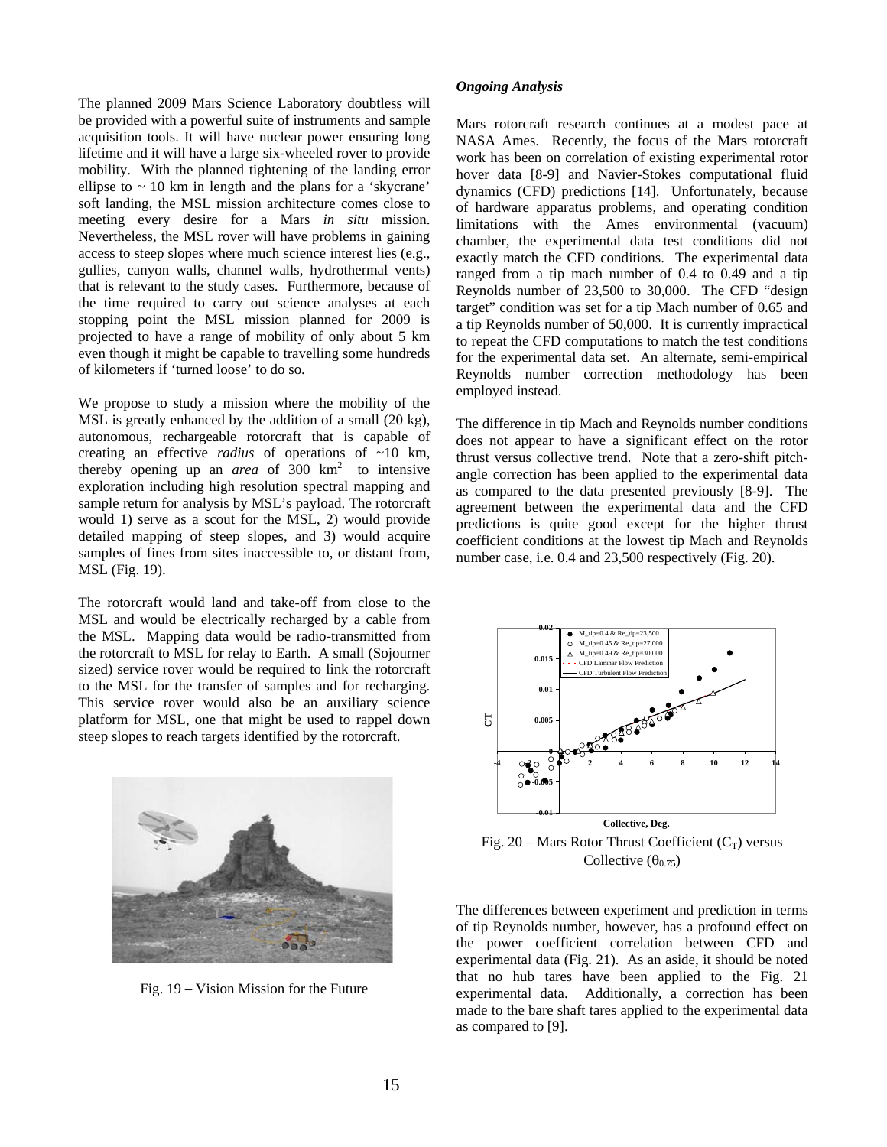The planned 2009 Mars Science Laboratory doubtless will be provided with a powerful suite of instruments and sample acquisition tools. It will have nuclear power ensuring long lifetime and it will have a large six-wheeled rover to provide mobility. With the planned tightening of the landing error ellipse to  $\sim$  10 km in length and the plans for a 'skycrane' soft landing, the MSL mission architecture comes close to meeting every desire for a Mars *in situ* mission. Nevertheless, the MSL rover will have problems in gaining access to steep slopes where much science interest lies (e.g., gullies, canyon walls, channel walls, hydrothermal vents) that is relevant to the study cases. Furthermore, because of the time required to carry out science analyses at each stopping point the MSL mission planned for 2009 is projected to have a range of mobility of only about 5 km even though it might be capable to travelling some hundreds of kilometers if 'turned loose' to do so.

We propose to study a mission where the mobility of the MSL is greatly enhanced by the addition of a small (20 kg), autonomous, rechargeable rotorcraft that is capable of creating an effective *radius* of operations of ~10 km, thereby opening up an *area* of 300  $km^2$  to intensive exploration including high resolution spectral mapping and sample return for analysis by MSL's payload. The rotorcraft would 1) serve as a scout for the MSL, 2) would provide detailed mapping of steep slopes, and 3) would acquire samples of fines from sites inaccessible to, or distant from, MSL (Fig. 19).

The rotorcraft would land and take-off from close to the MSL and would be electrically recharged by a cable from the MSL. Mapping data would be radio-transmitted from the rotorcraft to MSL for relay to Earth. A small (Sojourner sized) service rover would be required to link the rotorcraft to the MSL for the transfer of samples and for recharging. This service rover would also be an auxiliary science platform for MSL, one that might be used to rappel down steep slopes to reach targets identified by the rotorcraft.



Fig. 19 – Vision Mission for the Future

#### *Ongoing Analysis*

Mars rotorcraft research continues at a modest pace at NASA Ames. Recently, the focus of the Mars rotorcraft work has been on correlation of existing experimental rotor hover data [8-9] and Navier-Stokes computational fluid dynamics (CFD) predictions [14]. Unfortunately, because of hardware apparatus problems, and operating condition limitations with the Ames environmental (vacuum) chamber, the experimental data test conditions did not exactly match the CFD conditions. The experimental data ranged from a tip mach number of 0.4 to 0.49 and a tip Reynolds number of 23,500 to 30,000. The CFD "design target" condition was set for a tip Mach number of 0.65 and a tip Reynolds number of 50,000. It is currently impractical to repeat the CFD computations to match the test conditions for the experimental data set. An alternate, semi-empirical Reynolds number correction methodology has been employed instead.

The difference in tip Mach and Reynolds number conditions does not appear to have a significant effect on the rotor thrust versus collective trend. Note that a zero-shift pitchangle correction has been applied to the experimental data as compared to the data presented previously [8-9]. The agreement between the experimental data and the CFD predictions is quite good except for the higher thrust coefficient conditions at the lowest tip Mach and Reynolds number case, i.e. 0.4 and 23,500 respectively (Fig. 20).



Fig. 20 – Mars Rotor Thrust Coefficient  $(C_T)$  versus Collective  $(\theta_{0.75})$ 

The differences between experiment and prediction in terms of tip Reynolds number, however, has a profound effect on the power coefficient correlation between CFD and experimental data (Fig. 21). As an aside, it should be noted that no hub tares have been applied to the Fig. 21 experimental data. Additionally, a correction has been made to the bare shaft tares applied to the experimental data as compared to [9].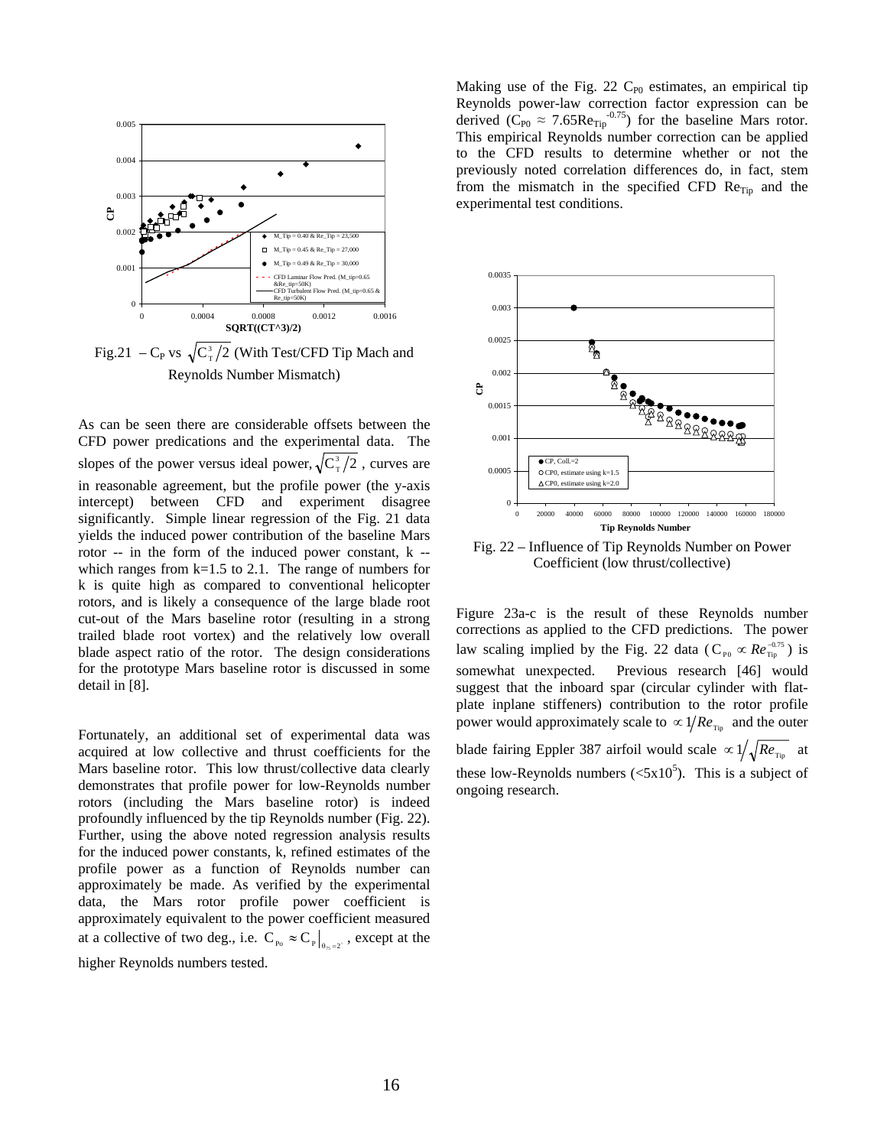

Fig.21 – C<sub>P</sub> vs  $\sqrt{C_{\text{T}}^3/2}$  (With Test/CFD Tip Mach and Reynolds Number Mismatch)

As can be seen there are considerable offsets between the CFD power predications and the experimental data. The slopes of the power versus ideal power,  $\sqrt{C_T^3}/2$ , curves are in reasonable agreement, but the profile power (the y-axis intercept) between CFD and experiment disagree significantly. Simple linear regression of the Fig. 21 data yields the induced power contribution of the baseline Mars rotor -- in the form of the induced power constant, k - which ranges from  $k=1.5$  to 2.1. The range of numbers for k is quite high as compared to conventional helicopter rotors, and is likely a consequence of the large blade root cut-out of the Mars baseline rotor (resulting in a strong trailed blade root vortex) and the relatively low overall blade aspect ratio of the rotor. The design considerations for the prototype Mars baseline rotor is discussed in some detail in [8].

Fortunately, an additional set of experimental data was acquired at low collective and thrust coefficients for the Mars baseline rotor. This low thrust/collective data clearly demonstrates that profile power for low-Reynolds number rotors (including the Mars baseline rotor) is indeed profoundly influenced by the tip Reynolds number (Fig. 22). Further, using the above noted regression analysis results for the induced power constants, k, refined estimates of the profile power as a function of Reynolds number can approximately be made. As verified by the experimental data, the Mars rotor profile power coefficient is approximately equivalent to the power coefficient measured at a collective of two deg., i.e.  $C_{p_0} \approx C_p \Big|_{\theta_{\gamma s} = 2^{\circ}}$ , except at the

higher Reynolds numbers tested.

Making use of the Fig. 22  $C_{P0}$  estimates, an empirical tip Reynolds power-law correction factor expression can be derived  $(\tilde{C}_{P0} \approx 7.65 \text{Re}_{\text{Tip}}^{0.75})$  for the baseline Mars rotor. This empirical Reynolds number correction can be applied to the CFD results to determine whether or not the previously noted correlation differences do, in fact, stem from the mismatch in the specified CFD  $\text{Re}_{\text{Tip}}$  and the experimental test conditions.



Fig. 22 – Influence of Tip Reynolds Number on Power Coefficient (low thrust/collective)

Figure 23a-c is the result of these Reynolds number corrections as applied to the CFD predictions. The power law scaling implied by the Fig. 22 data ( $C_{p_0} \propto Re_{\overline{r_{ip}}}^{-0.75}$ ) is somewhat unexpected. Previous research [46] would suggest that the inboard spar (circular cylinder with flatplate inplane stiffeners) contribution to the rotor profile power would approximately scale to  $\propto 1/Re_{\text{Tip}}$  and the outer blade fairing Eppler 387 airfoil would scale  $\propto 1/\sqrt{Re_{\rm Tip}}$  at these low-Reynolds numbers  $( $5x10^5$ ). This is a subject of$ ongoing research.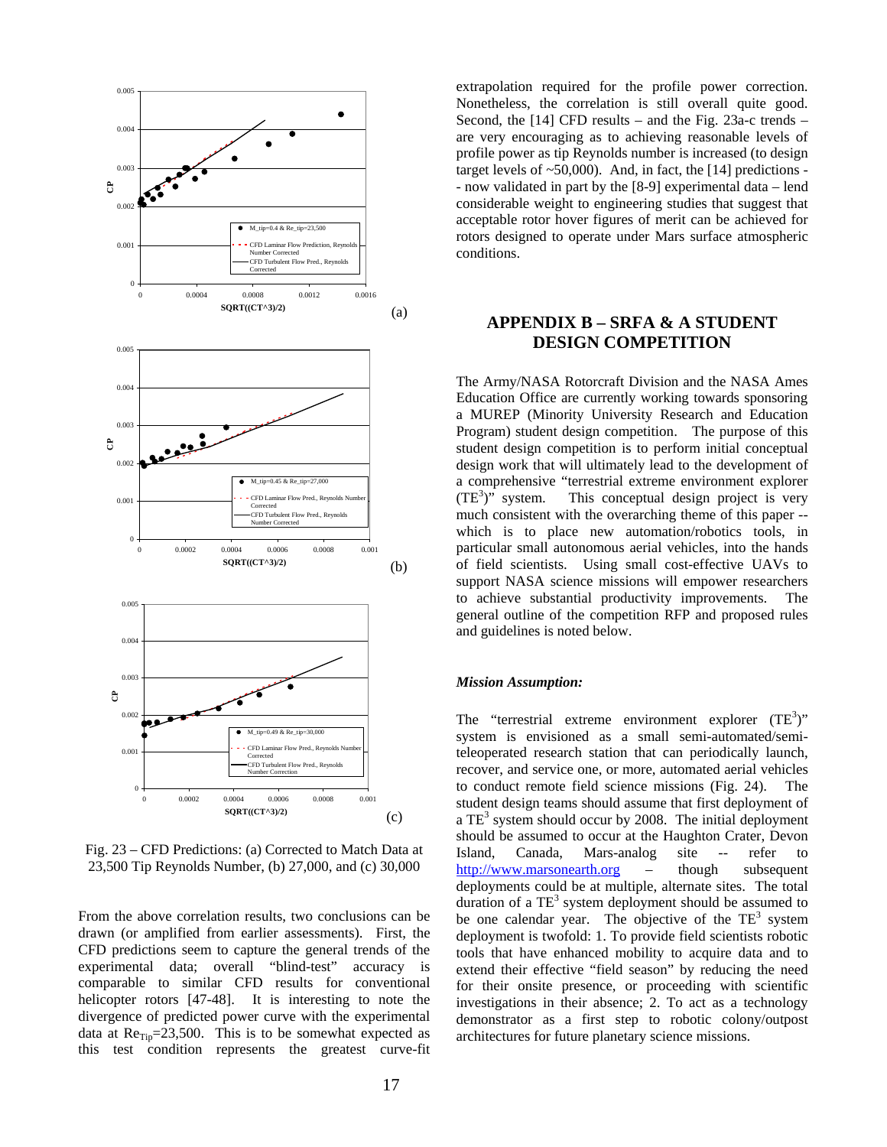

Fig. 23 – CFD Predictions: (a) Corrected to Match Data at 23,500 Tip Reynolds Number, (b) 27,000, and (c) 30,000

From the above correlation results, two conclusions can be drawn (or amplified from earlier assessments). First, the CFD predictions seem to capture the general trends of the experimental data; overall "blind-test" accuracy is comparable to similar CFD results for conventional helicopter rotors [47-48]. It is interesting to note the divergence of predicted power curve with the experimental data at  $Re_{\text{Tip}}=23,500$ . This is to be somewhat expected as this test condition represents the greatest curve-fit extrapolation required for the profile power correction. Nonetheless, the correlation is still overall quite good. Second, the [14] CFD results – and the Fig. 23a-c trends – are very encouraging as to achieving reasonable levels of profile power as tip Reynolds number is increased (to design target levels of  $~50,000$ ). And, in fact, the [14] predictions -- now validated in part by the [8-9] experimental data – lend considerable weight to engineering studies that suggest that acceptable rotor hover figures of merit can be achieved for rotors designed to operate under Mars surface atmospheric conditions.

## **APPENDIX B – SRFA & A STUDENT DESIGN COMPETITION**

The Army/NASA Rotorcraft Division and the NASA Ames Education Office are currently working towards sponsoring a MUREP (Minority University Research and Education Program) student design competition. The purpose of this student design competition is to perform initial conceptual design work that will ultimately lead to the development of a comprehensive "terrestrial extreme environment explorer  $(TE^3)$ " system. This conceptual design project is very much consistent with the overarching theme of this paper - which is to place new automation/robotics tools, in particular small autonomous aerial vehicles, into the hands of field scientists. Using small cost-effective UAVs to support NASA science missions will empower researchers to achieve substantial productivity improvements. The general outline of the competition RFP and proposed rules and guidelines is noted below.

#### *Mission Assumption:*

The "terrestrial extreme environment explorer  $(TE^3)$ " system is envisioned as a small semi-automated/semiteleoperated research station that can periodically launch, recover, and service one, or more, automated aerial vehicles to conduct remote field science missions (Fig. 24). The student design teams should assume that first deployment of a  $TE<sup>3</sup>$  system should occur by 2008. The initial deployment should be assumed to occur at the Haughton Crater, Devon Island, Canada, Mars-analog site -- refer to http://www.marsonearth.org – though subsequent deployments could be at multiple, alternate sites. The total duration of a  $TE^3$  system deployment should be assumed to be one calendar year. The objective of the  $TE^3$  system deployment is twofold: 1. To provide field scientists robotic tools that have enhanced mobility to acquire data and to extend their effective "field season" by reducing the need for their onsite presence, or proceeding with scientific investigations in their absence; 2. To act as a technology demonstrator as a first step to robotic colony/outpost architectures for future planetary science missions.